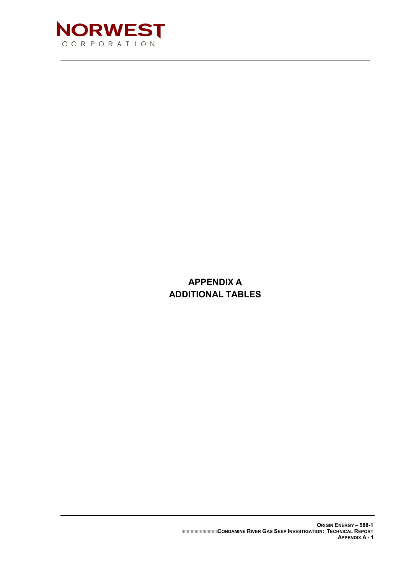

# **APPENDIX A ADDITIONAL TABLES**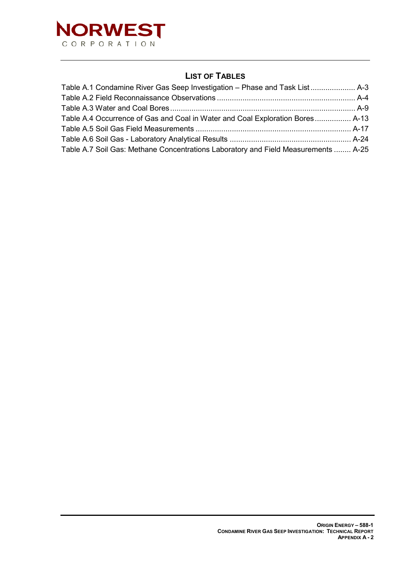

# **LIST OF TABLES**

| Table A.1 Condamine River Gas Seep Investigation – Phase and Task List  A-3        |  |
|------------------------------------------------------------------------------------|--|
|                                                                                    |  |
|                                                                                    |  |
| Table A.4 Occurrence of Gas and Coal in Water and Coal Exploration Bores A-13      |  |
|                                                                                    |  |
|                                                                                    |  |
| Table A.7 Soil Gas: Methane Concentrations Laboratory and Field Measurements  A-25 |  |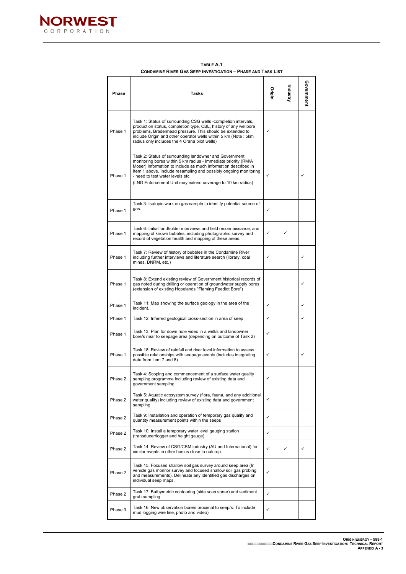

### Government **Government Industry Origin Phase Tasks** Task 1: Status of surrounding CSG wells -completion intervals, production status, completion type, CBL, history of any wellbore Phase 1 problems, Bradenhead pressure. This should be extended to  $\checkmark$ include Origin and other operator wells within 5 km (Note : 5km radius only includes the 4 Orana pilot wells) Task 2: Status of surrounding landowner and Government monitoring bores within 5 km radius - Immediate priority (RM/A Moser) Information to include as much information described in Item 1 above. Include resampling and possibly ongoing monitoring Phase 1 - need to test water levels etc.  $\checkmark$  |  $\checkmark$ (LNG Enforcement Unit may extend coverage to 10 km radius) Task 3: Isotopic work on gas sample to identify potential source of gas.  $\bigcup$ Phase 1 Task 6: Initial landholder interviews and field reconnaissance, and Phase 1 mapping of known bubbles, including photographic survey and  $\checkmark$   $\checkmark$ record of vegetation health and mapping of these areas. Task 7: Review of history of bubbles in the Condamine River including further interviews and literature search (library, coal Phase 1  $\checkmark$  |  $\checkmark$ mines, DNRM, etc.) Task 8: Extend existing review of Government historical records of  $\checkmark$ Phase 1 gas noted during drilling or operation of groundwater supply bores (extension of existing Hopelands "Flaming Feedlot Bore") Phase 1  $\left\{\right.$  Task 11: Map showing the surface geology in the area of the  $\checkmark$  |  $\checkmark$ incident. Phase 1 | Task 12: Inferred geological cross-section in area of seep  $\vert \checkmark \vert \; \rangle$ Phase 1 Task 13: Plan for down hole video in a well/s and landowner bore/s near to seepage area (depending on outcome of Task 2) Task 18: Review of rainfall and river level information to assess Phase 1 possible relationships with seepage events (includes integrating  $\checkmark$  |  $\checkmark$ data from item 7 and 8) Task 4: Scoping and commencement of a surface water quality  $\checkmark$ Phase 2 sampling programme including review of existing data and government sampling Task 5: Aquatic ecosystem survey (flora, fauna, and any additional  $\checkmark$ Phase 2 water quality) including review of existing data and government sampling Phase 2 Task 9: Installation and operation of temporary gas quality and Task 9. Installation and operation of temporary gas quality and  $\bigvee$  quantity measurement points within the seeps

**ORIGIN ENERGY – 588-1 CONDAMINE RIVER GAS SEEP INVESTIGATION: TECHNICAL REPORT APPENDIX A - 3** 

### **TABLE A.1 CONDAMINE RIVER GAS SEEP INVESTIGATION – PHASE AND TASK LIST**

| Phase 2 | Task 10: Install a temporary water level gauging station<br>(transducer/logger and height gauge)                                                                                                                           | ✓ |   |  |
|---------|----------------------------------------------------------------------------------------------------------------------------------------------------------------------------------------------------------------------------|---|---|--|
| Phase 2 | Task 14: Review of CSG/CBM industry (AU and International) for<br>similar events in other basins close to outcrop.                                                                                                         |   | ✓ |  |
| Phase 2 | Task 15: Focused shallow soil gas survey around seep area (In<br>vehicle gas monitor survey and focused shallow soil gas probing<br>and measurements). Delineate any identified gas discharges on<br>individual seep maps. |   |   |  |
| Phase 2 | Task 17: Bathymetric contouring (side scan sonar) and sediment<br>grab sampling                                                                                                                                            | ✓ |   |  |
| Phase 3 | Task 16: New observation bore/s proximal to seep/s. To include<br>mud logging wire line, photo and video)                                                                                                                  | ✓ |   |  |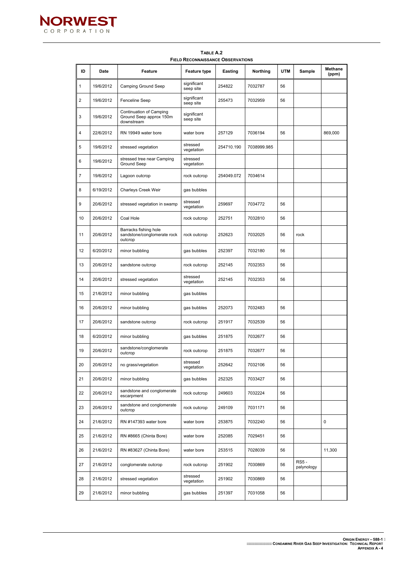

| ID             | <b>Date</b> | <b>Feature</b>                                                          | <b>Feature type</b>      | <b>Easting</b> | <b>Northing</b> | <b>UTM</b> | <b>Sample</b>             | <b>Methane</b><br>(ppm) |
|----------------|-------------|-------------------------------------------------------------------------|--------------------------|----------------|-----------------|------------|---------------------------|-------------------------|
| 1              | 19/6/2012   | <b>Camping Ground Seep</b>                                              | significant<br>seep site | 254822         | 7032787         | 56         |                           |                         |
| 2              | 19/6/2012   | Fenceline Seep                                                          | significant<br>seep site | 255473         | 7032959         | 56         |                           |                         |
| 3              | 19/6/2012   | <b>Continuation of Camping</b><br>Ground Seep approx 150m<br>downstream | significant<br>seep site |                |                 |            |                           |                         |
| 4              | 22/6/2012   | RN 19949 water bore                                                     | water bore               | 257129         | 7036194         | 56         |                           | 869,000                 |
| 5              | 19/6/2012   | stressed vegetation                                                     | stressed<br>vegetation   | 254710.190     | 7038999.985     |            |                           |                         |
| 6              | 19/6/2012   | stressed tree near Camping<br>Ground Seep                               | stressed<br>vegetation   |                |                 |            |                           |                         |
| $\overline{7}$ | 19/6/2012   | Lagoon outcrop                                                          | rock outcrop             | 254049.072     | 7034614         |            |                           |                         |
| 8              | 6/19/2012   | Charleys Creek Weir                                                     | gas bubbles              |                |                 |            |                           |                         |
| 9              | 20/6/2012   | stressed vegetation in swamp                                            | stressed<br>vegetation   | 259697         | 7034772         | 56         |                           |                         |
| 10             | 20/6/2012   | Coal Hole                                                               | rock outcrop             | 252751         | 7032810         | 56         |                           |                         |
| 11             | 20/6/2012   | Barracks fishing hole<br>sandstone/conglomerate rock<br>outcrop         | rock outcrop             | 252623         | 7032025         | 56         | rock                      |                         |
| 12             | 6/20/2012   | minor bubbling                                                          | gas bubbles              | 252397         | 7032180         | 56         |                           |                         |
| 13             | 20/6/2012   | sandstone outcrop                                                       | rock outcrop             | 252145         | 7032353         | 56         |                           |                         |
| 14             | 20/6/2012   | stressed vegetation                                                     | stressed<br>vegetation   | 252145         | 7032353         | 56         |                           |                         |
| 15             | 21/6/2012   | minor bubbling                                                          | gas bubbles              |                |                 |            |                           |                         |
| 16             | 20/6/2012   | minor bubbling                                                          | gas bubbles              | 252073         | 7032483         | 56         |                           |                         |
| 17             | 20/6/2012   | sandstone outcrop                                                       | rock outcrop             | 251917         | 7032539         | 56         |                           |                         |
| 18             | 6/20/2012   | minor bubbling                                                          | gas bubbles              | 251875         | 7032677         | 56         |                           |                         |
| 19             | 20/6/2012   | sandstone/conglomerate<br>outcrop                                       | rock outcrop             | 251875         | 7032677         | 56         |                           |                         |
| 20             | 20/6/2012   | no grass/vegetation                                                     | stressed<br>vegetation   | 252642         | 7032106         | 56         |                           |                         |
| 21             | 20/6/2012   | minor bubbling                                                          | gas bubbles              | 252325         | 7033427         | 56         |                           |                         |
| 22             | 20/6/2012   | sandstone and conglomerate<br>escarpment                                | rock outcrop             | 249603         | 7032224         | 56         |                           |                         |
| 23             | 20/6/2012   | sandstone and conglomerate<br>outcrop                                   | rock outcrop             | 249109         | 7031171         | 56         |                           |                         |
| 24             | 21/6/2012   | RN #147393 water bore                                                   | water bore               | 253875         | 7032240         | 56         |                           | 0                       |
| 25             | 21/6/2012   | RN #8665 (Chinta Bore)                                                  | water bore               | 252085         | 7029451         | 56         |                           |                         |
| 26             | 21/6/2012   | RN #83627 (Chinta Bore)                                                 | water bore               | 253515         | 7028039         | 56         |                           | 11,300                  |
| 27             | 21/6/2012   | conglomerate outcrop                                                    | rock outcrop             | 251902         | 7030869         | 56         | <b>RS5-</b><br>palynology |                         |
| 28             | 21/6/2012   | stressed vegetation                                                     | stressed<br>vegetation   | 251902         | 7030869         | 56         |                           |                         |
| 29             | 21/6/2012   | minor bubbling                                                          | gas bubbles              | 251397         | 7031058         | 56         |                           |                         |

**TABLE A.2 FIELD RECONNAISSANCE OBSERVATIONS**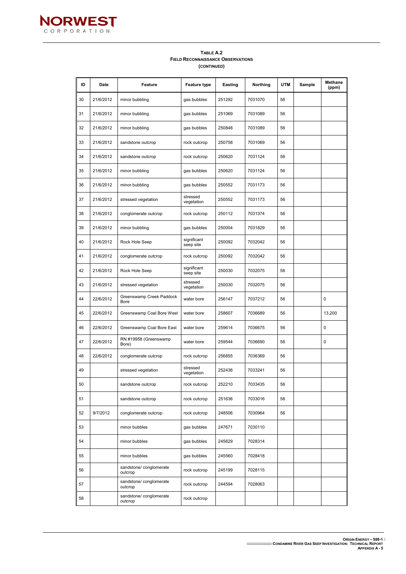

| ID | <b>Date</b> | <b>Feature</b>                          | <b>Feature type</b>      | <b>Easting</b> | <b>Northing</b> | <b>UTM</b> | <b>Sample</b> | <b>Methane</b><br>(ppm) |
|----|-------------|-----------------------------------------|--------------------------|----------------|-----------------|------------|---------------|-------------------------|
| 30 | 21/6/2012   | minor bubbling                          | gas bubbles              | 251292         | 7031070         | 56         |               |                         |
| 31 | 21/6/2012   | minor bubbling                          | gas bubbles              | 251069         | 7031089         | 56         |               |                         |
| 32 | 21/6/2012   | minor bubbling                          | gas bubbles              | 250848         | 7031089         | 56         |               |                         |
| 33 | 21/6/2012   | sandstone outcrop                       | rock outcrop             | 250758         | 7031069         | 56         |               |                         |
| 34 | 21/6/2012   | sandstone outcrop                       | rock outcrop             | 250620         | 7031124         | 56         |               |                         |
| 35 | 21/6/2012   | minor bubbling                          | gas bubbles              | 250620         | 7031124         | 56         |               |                         |
| 36 | 21/6/2012   | minor bubbling                          | gas bubbles              | 250552         | 7031173         | 56         |               |                         |
| 37 | 21/6/2012   | stressed vegetation                     | stressed<br>vegetation   | 250552         | 7031173         | 56         |               |                         |
| 38 | 21/6/2012   | conglomerate outcrop                    | rock outcrop             | 250112         | 7031374         | 56         |               |                         |
| 39 | 21/6/2012   | minor bubbling                          | gas bubbles              | 250004         | 7031829         | 56         |               |                         |
| 40 | 21/6/2012   | Rock Hole Seep                          | significant<br>seep site | 250092         | 7032042         | 56         |               |                         |
| 41 | 21/6/2012   | conglomerate outcrop                    | rock outcrop             | 250092         | 7032042         | 56         |               |                         |
| 42 | 21/6/2012   | Rock Hole Seep                          | significant<br>seep site | 250030         | 7032075         | 56         |               |                         |
| 43 | 21/6/2012   | stressed vegetation                     | stressed<br>vegetation   | 250030         | 7032075         | 56         |               |                         |
| 44 | 22/6/2012   | Greenswamp Creek Paddock<br><b>Bore</b> | water bore               | 256147         | 7037212         | 56         |               | $\mathbf 0$             |
| 45 | 22/6/2012   | Greenswamp Coal Bore West               | water bore               | 258607         | 7036689         | 56         |               | 13,200                  |
| 46 | 22/6/2012   | Greenswamp Coal Bore East               | water bore               | 259614         | 7036675         | 56         |               | 0                       |
| 47 | 22/6/2012   | RN #19958 (Greenswamp<br>Bore)          | water bore               | 259544         | 7036690         | 56         |               | 0                       |
| 48 | 22/6/2012   | conglomerate outcrop                    | rock outcrop             | 256855         | 7036369         | 56         |               |                         |
| 49 |             | stressed vegetation                     | stressed<br>vegetation   | 252436         | 7033241         | 56         |               |                         |
| 50 |             | sandstone outcrop                       | rock outcrop             | 252210         | 7033435         | 56         |               |                         |
| 51 |             | sandstone outcrop                       | rock outcrop             | 251636         | 7033016         | 56         |               |                         |
| 52 | 9/7/2012    | conglomerate outcrop                    | rock outcrop             | 248506         | 7030964         | 56         |               |                         |
| 53 |             | minor bubbles                           | gas bubbles              | 247671         | 7030110         |            |               |                         |
| 54 |             | minor bubbles                           | gas bubbles              | 245629         | 7028314         |            |               |                         |
| 55 |             | minor bubbles                           | gas bubbles              | 245560         | 7028418         |            |               |                         |
| 56 |             | sandstone/conglomerate<br>outcrop       | rock outcrop             | 245199         | 7028115         |            |               |                         |
| 57 |             | sandstone/conglomerate<br>outcrop       | rock outcrop             | 244594         | 7028063         |            |               |                         |
| 58 |             | sandstone/conglomerate<br>outcrop       | rock outcrop             |                |                 |            |               |                         |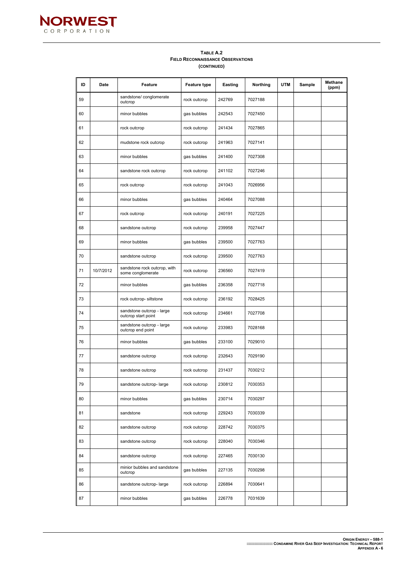

| ID | <b>Date</b> | <b>Feature</b>                                    | <b>Feature type</b> | <b>Easting</b> | <b>Northing</b> | <b>UTM</b> | <b>Sample</b> | <b>Methane</b><br>(ppm) |
|----|-------------|---------------------------------------------------|---------------------|----------------|-----------------|------------|---------------|-------------------------|
| 59 |             | sandstone/conglomerate<br>outcrop                 | rock outcrop        | 242769         | 7027188         |            |               |                         |
| 60 |             | minor bubbles                                     | gas bubbles         | 242543         | 7027450         |            |               |                         |
| 61 |             | rock outcrop                                      | rock outcrop        | 241434         | 7027865         |            |               |                         |
| 62 |             | mudstone rock outcrop                             | rock outcrop        | 241963         | 7027141         |            |               |                         |
| 63 |             | minor bubbles                                     | gas bubbles         | 241400         | 7027308         |            |               |                         |
| 64 |             | sandstone rock outcrop                            | rock outcrop        | 241102         | 7027246         |            |               |                         |
| 65 |             | rock outcrop                                      | rock outcrop        | 241043         | 7026956         |            |               |                         |
| 66 |             | minor bubbles                                     | gas bubbles         | 240464         | 7027088         |            |               |                         |
| 67 |             | rock outcrop                                      | rock outcrop        | 240191         | 7027225         |            |               |                         |
| 68 |             | sandstone outcrop                                 | rock outcrop        | 239958         | 7027447         |            |               |                         |
| 69 |             | minor bubbles                                     | gas bubbles         | 239500         | 7027763         |            |               |                         |
| 70 |             | sandstone outcrop                                 | rock outcrop        | 239500         | 7027763         |            |               |                         |
| 71 | 10/7/2012   | sandstone rock outcrop, with<br>some conglomerate | rock outcrop        | 236560         | 7027419         |            |               |                         |
| 72 |             | minor bubbles                                     | gas bubbles         | 236358         | 7027718         |            |               |                         |
| 73 |             | rock outcrop- siltstone                           | rock outcrop        | 236192         | 7028425         |            |               |                         |
| 74 |             | sandstone outcrop - large<br>outcrop start point  | rock outcrop        | 234661         | 7027708         |            |               |                         |
| 75 |             | sandstone outcrop - large<br>outcrop end point    | rock outcrop        | 233983         | 7028168         |            |               |                         |
| 76 |             | minor bubbles                                     | gas bubbles         | 233100         | 7029010         |            |               |                         |
| 77 |             | sandstone outcrop                                 | rock outcrop        | 232643         | 7029190         |            |               |                         |
| 78 |             | sandstone outcrop                                 | rock outcrop        | 231437         | 7030212         |            |               |                         |
| 79 |             | sandstone outcrop- large                          | rock outcrop        | 230812         | 7030353         |            |               |                         |
| 80 |             | minor bubbles                                     | gas bubbles         | 230714         | 7030297         |            |               |                         |
| 81 |             | sandstone                                         | rock outcrop        | 229243         | 7030339         |            |               |                         |
| 82 |             | sandstone outcrop                                 | rock outcrop        | 228742         | 7030375         |            |               |                         |
| 83 |             | sandstone outcrop                                 | rock outcrop        | 228040         | 7030346         |            |               |                         |
| 84 |             | sandstone outcrop                                 | rock outcrop        | 227465         | 7030130         |            |               |                         |
| 85 |             | minior bubbles and sandstone<br>outcrop           | gas bubbles         | 227135         | 7030298         |            |               |                         |
| 86 |             | sandstone outcrop- large                          | rock outcrop        | 226894         | 7030641         |            |               |                         |
| 87 |             | minor bubbles                                     | gas bubbles         | 226778         | 7031639         |            |               |                         |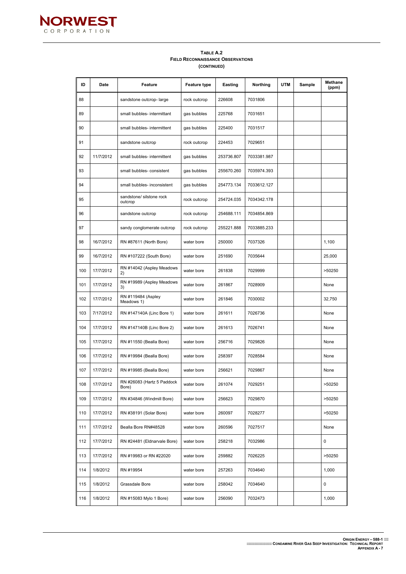

| ID  | <b>Date</b> | <b>Feature</b>                      | <b>Feature type</b> | <b>Easting</b> | <b>Northing</b> | <b>UTM</b> | <b>Sample</b> | <b>Methane</b><br>(ppm) |
|-----|-------------|-------------------------------------|---------------------|----------------|-----------------|------------|---------------|-------------------------|
| 88  |             | sandstone outcrop-large             | rock outcrop        | 226608         | 7031806         |            |               |                         |
| 89  |             | small bubbles- intermittant         | gas bubbles         | 225768         | 7031651         |            |               |                         |
| 90  |             | small bubbles- intermittent         | gas bubbles         | 225400         | 7031517         |            |               |                         |
| 91  |             | sandstone outcrop                   | rock outcrop        | 224453         | 7029651         |            |               |                         |
| 92  | 11/7/2012   | small bubbles- intermittent         | gas bubbles         | 253736.807     | 7033381.987     |            |               |                         |
| 93  |             | small bubbles- consistent           | gas bubbles         | 255670.260     | 7035974.393     |            |               |                         |
| 94  |             | small bubbles- inconsistent         | gas bubbles         | 254773.134     | 7033612.127     |            |               |                         |
| 95  |             | sandstone/ silstone rock<br>outcrop | rock outcrop        | 254724.035     | 7034342.178     |            |               |                         |
| 96  |             | sandstone outcrop                   | rock outcrop        | 254688.111     | 7034854.869     |            |               |                         |
| 97  |             | sandy conglomerate outcrop          | rock outcrop        | 255221.888     | 7033885.233     |            |               |                         |
| 98  | 16/7/2012   | RN #87611 (North Bore)              | water bore          | 250000         | 7037326         |            |               | 1,100                   |
| 99  | 16/7/2012   | RN #107222 (South Bore)             | water bore          | 251690         | 7035644         |            |               | 25,000                  |
| 100 | 17/7/2012   | RN #14042 (Aspley Meadows<br>2)     | water bore          | 261838         | 7029999         |            |               | >50250                  |
| 101 | 17/7/2012   | RN #19989 (Aspley Meadows<br>3)     | water bore          | 261867         | 7028909         |            |               | None                    |
| 102 | 17/7/2012   | RN #119484 (Aspley<br>Meadows 1)    | water bore          | 261846         | 7030002         |            |               | 32,750                  |
| 103 | 7/17/2012   | RN #147140A (Linc Bore 1)           | water bore          | 261611         | 7026736         |            |               | None                    |
| 104 | 17/7/2012   | RN #147140B (Linc Bore 2)           | water bore          | 261613         | 7026741         |            |               | None                    |
| 105 | 17/7/2012   | RN #11550 (Bealla Bore)             | water bore          | 256716         | 7029826         |            |               | None                    |
| 106 | 17/7/2012   | RN #19984 (Bealla Bore)             | water bore          | 258397         | 7028584         |            |               | None                    |
| 107 | 17/7/2012   | RN #19985 (Bealla Bore)             | water bore          | 256621         | 7029867         |            |               | None                    |
| 108 | 17/7/2012   | RN #26083 (Hartz 5 Paddock<br>Bore) | water bore          | 261074         | 7029251         |            |               | >50250                  |
| 109 | 17/7/2012   | RN #34846 (Windmill Bore)           | water bore          | 256623         | 7029870         |            |               | >50250                  |
| 110 | 17/7/2012   | RN #38191 (Solar Bore)              | water bore          | 260097         | 7028277         |            |               | >50250                  |
| 111 | 17/7/2012   | Bealla Bore RN#48528                | water bore          | 260596         | 7027517         |            |               | None                    |
| 112 | 17/7/2012   | RN #24481 (Eldnarvale Bore)         | water bore          | 258218         | 7032986         |            |               | $\mathbf 0$             |
| 113 | 17/7/2012   | RN #19983 or RN #22020              | water bore          | 259882         | 7026225         |            |               | >50250                  |
| 114 | 1/8/2012    | RN #19954                           | water bore          | 257263         | 7034640         |            |               | 1,000                   |
| 115 | 1/8/2012    | Grassdale Bore                      | water bore          | 258042         | 7034640         |            |               | $\mathbf 0$             |
| 116 | 1/8/2012    | RN #15083 Mylo 1 Bore)              | water bore          | 256090         | 7032473         |            |               | 1,000                   |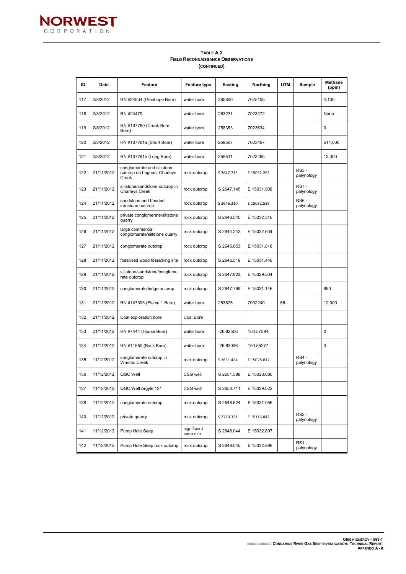

| ID  | <b>Date</b> | <b>Feature</b>                                                     | <b>Feature type</b>      | <b>Easting</b> | <b>Northing</b> | <b>UTM</b> | <b>Sample</b>              | <b>Methane</b><br>(ppm) |
|-----|-------------|--------------------------------------------------------------------|--------------------------|----------------|-----------------|------------|----------------------------|-------------------------|
| 117 | 2/8/2012    | RN #24504 (Glenhope Bore)                                          | water bore               | 265800         | 7025105         |            |                            | 4,100                   |
| 118 | 2/8/2012    | RN #24479                                                          | water bore               | 263231         | 7023272         |            |                            | None                    |
| 119 | 2/8/2012    | RN #107760 (Creek Bore<br>Bore)                                    | water bore               | 258353         | 7023634         |            |                            | 0                       |
| 120 | 2/8/2012    | RN #107761a (Short Bore)                                           | water bore               | 259507         | 7023467         |            |                            | 514,000                 |
| 121 | 2/8/2012    | RN #107761b (Long Bore)                                            | water bore               | 259511         | 7023465         |            |                            | 12,000                  |
| 122 | 21/11/2012  | conglomerate and siltstone<br>outcrop on Laguna, Charleys<br>Creek | rock outcrop             | S 2647.713     | E 15032.262     |            | <b>RS3-</b><br>palynology  |                         |
| 123 | 21/11/2012  | siltstone/sandstone outcrop in<br><b>Charleys Creek</b>            | rock outcrop             | S 2647.145     | E 15031.938     |            | <b>RS7-</b><br>palynology  |                         |
| 124 | 21/11/2012  | sandstone and banded<br>ironstone outcrop                          | rock outcrop             | S 2646.310     | E 15032.538     |            | <b>RS6-</b><br>palynology  |                         |
| 125 | 21/11/2012  | private conglomerate/siltstone<br>quarry                           | rock outcrop             | S 2646.545     | E 15032.316     |            |                            |                         |
| 126 | 21/11/2012  | large commercial<br>conglomerate/siltstone quarry                  | rock outcrop             | S 2644.242     | E 15032.634     |            |                            |                         |
| 127 | 21/11/2012  | conglomerate outcrop                                               | rock outcrop             | S 2645.053     | E 15031.818     |            |                            |                         |
| 128 | 21/11/2012  | fossilised wood fossicking site                                    | rock outcrop             | S 2646.519     | E 15031.446     |            |                            |                         |
| 129 | 21/11/2012  | siltstone/sandstone/conglome<br>rate outcrop                       | rock outcrop             | S 2647.822     | E 15029.304     |            |                            |                         |
| 130 | 21/11/2012  | conglomerate ledge outcrop                                         | rock outcrop             | S 2647.799     | E 15031.146     |            |                            | 850                     |
| 131 | 21/11/2012  | RN #147393 (Elsme 1 Bore)                                          | water bore               | 253875         | 7032240         | 56         |                            | 12,000                  |
| 132 | 21/11/2012  | Coal exploration bore                                              | Coal Bore                |                |                 |            |                            |                         |
| 133 | 21/11/2012  | RN #7444 (House Bore)                                              | water bore               | $-26.82506$    | 150.57594       |            |                            | 0                       |
| 134 | 21/11/2012  | RN #11550 (Back Bore)                                              | water bore               | $-26.83036$    | 150.55277       |            |                            | 0                       |
| 135 | 11/12/2012  | conglomerate outcrop in<br>Wambo Creek                             | rock outcrop             | S 2651.424     | E 15028.812     |            | <b>RS4 -</b><br>palynology |                         |
| 136 | 11/12/2012  | QGC Well                                                           | CSG well                 | S 2651.588     | E 15028.680     |            |                            |                         |
| 137 | 11/12/2012  | QGC Well Argyle 121                                                | CSG well                 | S 2650.711     | E 15029.022     |            |                            |                         |
| 138 | 11/12/2012  | conglomerate outcrop                                               | rock outcrop             | S 2648.624     | E 15031.056     |            |                            |                         |
| 140 | 11/12/2012  | private quarry                                                     | rock outcrop             | S 2710.321     | E 15116.842     |            | <b>RS2 -</b><br>palynology |                         |
| 141 | 11/12/2012  | Pump Hole Seep                                                     | significant<br>seep site | S 2648.044     | E 15032.897     |            |                            |                         |
| 142 | 11/12/2012  | Pump Hole Seep rock outcrop                                        | rock outcrop             | S 2648.045     | E 15032.898     |            | <b>RS1-</b><br>palynology  |                         |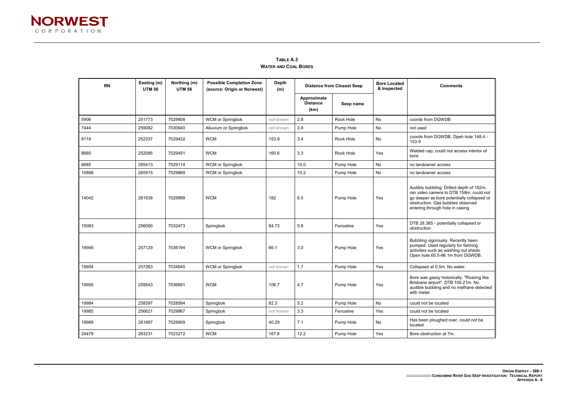

## **TABLE A.3 WATER AND COAL BORES**

| <b>RN</b> | Easting (m)<br><b>UTM 56</b> | Northing (m)<br><b>UTM 56</b> | <b>Possible Completion Zone</b><br>(source: Origin or Norwest) | <b>Depth</b><br>(m) |                                        | <b>Distance from Closest Seep</b> | <b>Bore Located</b><br>& Inspected | <b>Comments</b>                                                                                                                                                                                            |
|-----------|------------------------------|-------------------------------|----------------------------------------------------------------|---------------------|----------------------------------------|-----------------------------------|------------------------------------|------------------------------------------------------------------------------------------------------------------------------------------------------------------------------------------------------------|
|           |                              |                               |                                                                |                     | Approximate<br><b>Distance</b><br>(km) | Seep name                         |                                    |                                                                                                                                                                                                            |
| 5906      | 251773                       | 7029808                       | <b>WCM or Springbok</b>                                        | not known           | 2.8                                    | Rock Hole                         | No                                 | coords from DGWDB                                                                                                                                                                                          |
| 7444      | 259082                       | 7030640                       | Alluvium or Springbok                                          | not known           | 3.9                                    | Pump Hole                         | No                                 | not used                                                                                                                                                                                                   |
| 8119      | 252337                       | 7029432                       | <b>WCM</b>                                                     | 153.9               | 3.4                                    | Rock Hole                         | No                                 | coords from DGWDB. Opeh hole 148.4 -<br>153.9                                                                                                                                                              |
| 8665      | 252085                       | 7029451                       | <b>WCM</b>                                                     | 160.6               | 3.3                                    | Rock Hole                         | Yes                                | Welded cap, could not access interior of<br>bore                                                                                                                                                           |
| 8685      | 265413                       | 7029114                       | <b>WCM or Springbok</b>                                        |                     | 10.0                                   | Pump Hole                         | No                                 | no landowner access                                                                                                                                                                                        |
| 10898     | 265915                       | 7029869                       | <b>WCM or Springbok</b>                                        |                     | 10.2                                   | Pump Hole                         | No                                 | no landowner access                                                                                                                                                                                        |
| 14042     | 261838                       | 7029999                       | <b>WCM</b>                                                     | 182                 | 6.5                                    | Pump Hole                         | Yes                                | Audibly bubbling. Drilled depth of 182m,<br>ran video camera to DTB 158m, could not<br>go deeper as bore potentially collapsed or<br>obstruction. Gas bubbles observed<br>entering through hole in casing. |
| 15083     | 256090                       | 7032473                       | Springbok                                                      | 84.73               | 0.8                                    | Fenceline                         | Yes                                | DTB 28.385 - potentially collapsed or<br>obstruction                                                                                                                                                       |
| 19949     | 257129                       | 7036194                       | <b>WCM or Springbok</b>                                        | 66.1                | 3.0                                    | Pump Hole                         | Yes                                | Bubbling vigorously. Recently been<br>pumped. Used regularly for farming<br>activities such as washing out sheds.<br>Open hole 65.5-66.1m from DGWDB.                                                      |
| 19954     | 257263                       | 7034640                       | <b>WCM or Springbok</b>                                        | not known           | 1.7                                    | Pump Hole                         | Yes                                | Collapsed at 0.5m. No water.                                                                                                                                                                               |
| 19958     | 259543                       | 7036691                       | <b>WCM</b>                                                     | 106.7               | 4.7                                    | Pump Hole                         | Yes                                | Bore was gassy historically. "Roaring like<br>Brisbane airport". DTB 106.21m. No<br>audible bubbling and no methane detected<br>with meter.                                                                |
| 19984     | 258397                       | 7028584                       | Springbok                                                      | 82.3                | 5.2                                    | Pump Hole                         | No                                 | could not be located                                                                                                                                                                                       |
| 19985     | 256621                       | 7029867                       | Springbok                                                      | not known           | 3.3                                    | Fenceline                         | Yes                                | could not be located                                                                                                                                                                                       |
| 19989     | 261867                       | 7028909                       | Springbok                                                      | 40.29               | 7.1                                    | Pump Hole                         | No                                 | Has been ploughed over, could not be<br>located                                                                                                                                                            |
| 24479     | 263231                       | 7023272                       | <b>WCM</b>                                                     | 167.6               | 12.2                                   | Pump Hole                         | Yes                                | Bore obstruction at 7m.                                                                                                                                                                                    |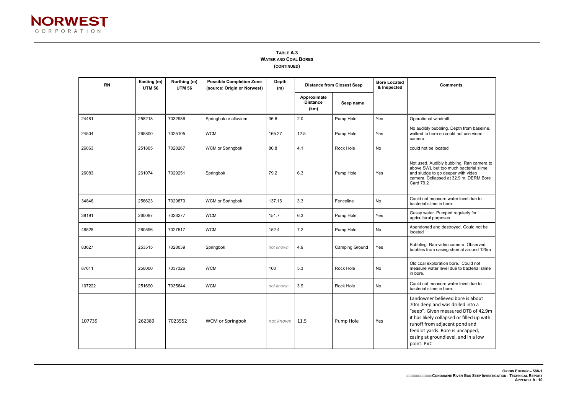

## **TABLE A.3 WATER AND COAL BORES (CONTINUED)**

| <b>RN</b> | Easting (m)<br><b>UTM 56</b> | Northing (m)<br><b>UTM 56</b> | <b>Possible Completion Zone</b><br>(source: Origin or Norwest) | <b>Depth</b><br>(m) |                                        | <b>Distance from Closest Seep</b> | <b>Bore Located</b><br>& Inspected | <b>Comments</b>                                                                                                                                                                                                                                                                   |
|-----------|------------------------------|-------------------------------|----------------------------------------------------------------|---------------------|----------------------------------------|-----------------------------------|------------------------------------|-----------------------------------------------------------------------------------------------------------------------------------------------------------------------------------------------------------------------------------------------------------------------------------|
|           |                              |                               |                                                                |                     | Approximate<br><b>Distance</b><br>(km) | Seep name                         |                                    |                                                                                                                                                                                                                                                                                   |
| 24481     | 258218                       | 7032986                       | Springbok or alluvium                                          | 36.6                | 2.0                                    | Pump Hole                         | Yes                                | Operational windmill.                                                                                                                                                                                                                                                             |
| 24504     | 265800                       | 7025105                       | <b>WCM</b>                                                     | 165.27              | 12.5                                   | Pump Hole                         | Yes                                | No audibly bubbling. Depth from baseline.<br>walked to bore so could not use video<br>camera.                                                                                                                                                                                     |
| 26063     | 251805                       | 7028267                       | <b>WCM</b> or Springbok                                        | 80.8                | 4.1                                    | Rock Hole                         | No                                 | could not be located                                                                                                                                                                                                                                                              |
| 26083     | 261074                       | 7029251                       | Springbok                                                      | 79.2                | 6.3                                    | Pump Hole                         | Yes                                | Not used. Audibly bubbling. Ran camera to<br>above SWL but too much bacterial slime<br>and sludge to go deeper with video<br>camera. Collapsed at 32.9 m. DERM Bore<br><b>Card 79.2</b>                                                                                           |
| 34846     | 256623                       | 7029870                       | <b>WCM or Springbok</b>                                        | 137.16              | 3.3                                    | Fenceline                         | No                                 | Could not measure water level due to<br>bacterial slime in bore.                                                                                                                                                                                                                  |
| 38191     | 260097                       | 7028277                       | <b>WCM</b>                                                     | 151.7               | 6.3                                    | Pump Hole                         | Yes                                | Gassy water. Pumped regularly for<br>agricultural purposes.                                                                                                                                                                                                                       |
| 48528     | 260596                       | 7027517                       | <b>WCM</b>                                                     | 152.4               | 7.2                                    | Pump Hole                         | No                                 | Abandoned and destroyed. Could not be<br>located                                                                                                                                                                                                                                  |
| 83627     | 253515                       | 7028039                       | Springbok                                                      | not known           | 4.9                                    | Camping Ground                    | Yes                                | Bubbling. Ran video camera. Observed<br>bubbles from casing shoe at around 125m                                                                                                                                                                                                   |
| 87611     | 250000                       | 7037326                       | <b>WCM</b>                                                     | 100                 | 5.3                                    | Rock Hole                         | No                                 | Old coal exploration bore. Could not<br>measure water level due to bacterial slime<br>in bore.                                                                                                                                                                                    |
| 107222    | 251690                       | 7035644                       | <b>WCM</b>                                                     | not known           | 3.9                                    | Rock Hole                         | No                                 | Could not measure water level due to<br>bacterial slime in bore.                                                                                                                                                                                                                  |
| 107739    | 262389                       | 7023552                       | WCM or Springbok                                               | not known           | 11.5                                   | Pump Hole                         | Yes                                | Landowner believed bore is about<br>70m deep and was drilled into a<br>"seep". Given measured DTB of 42.9m<br>it has likely collapsed or filled up with<br>runoff from adjacent pond and<br>feedlot yards. Bore is uncapped,<br>casing at groundlevel, and in a low<br>point. PVC |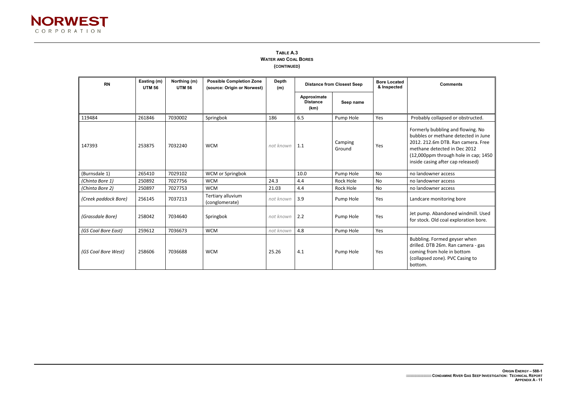

## **TABLE A.3 WATER AND COAL BORES (CONTINUED)**

# **& Inspected Comments**

### collapsed or obstructed.

| <b>RN</b>            | Easting (m)<br><b>UTM 56</b> | Northing (m)<br><b>UTM 56</b> | <b>Possible Completion Zone</b><br>(source: Origin or Norwest) | <b>Depth</b><br>(m) | <b>Distance from Closest Seep</b>      |                   | <b>Bore Located</b><br>& Inspected | <b>Comments</b>                                                                                                                                                                                                             |
|----------------------|------------------------------|-------------------------------|----------------------------------------------------------------|---------------------|----------------------------------------|-------------------|------------------------------------|-----------------------------------------------------------------------------------------------------------------------------------------------------------------------------------------------------------------------------|
|                      |                              |                               |                                                                |                     | Approximate<br><b>Distance</b><br>(km) | Seep name         |                                    |                                                                                                                                                                                                                             |
| 119484               | 261846                       | 7030002                       | Springbok                                                      | 186                 | 6.5                                    | Pump Hole         | Yes                                | Probably collapsed or obstructed.                                                                                                                                                                                           |
| 147393               | 253875                       | 7032240                       | <b>WCM</b>                                                     | not known           | 1.1                                    | Camping<br>Ground | Yes                                | Formerly bubbling and flowing. No<br>bubbles or methane detected in June<br>2012. 212.6m DTB. Ran camera. Free<br>methane detected in Dec 2012<br>(12,000ppm through hole in cap; 1450<br>inside casing after cap released) |
| (Burnsdale 1)        | 265410                       | 7029102                       | WCM or Springbok                                               |                     | 10.0                                   | Pump Hole         | No                                 | no landowner access                                                                                                                                                                                                         |
| (Chinta Bore 1)      | 250892                       | 7027756                       | <b>WCM</b>                                                     | 24.3                | 4.4                                    | Rock Hole         | <b>No</b>                          | no landowner access                                                                                                                                                                                                         |
| (Chinta Bore 2)      | 250897                       | 7027753                       | <b>WCM</b>                                                     | 21.03               | 4.4                                    | Rock Hole         | No                                 | no landowner access                                                                                                                                                                                                         |
| (Creek paddock Bore) | 256145                       | 7037213                       | Tertiary alluvium<br>(conglomerate)                            | not known           | 3.9                                    | Pump Hole         | Yes                                | Landcare monitoring bore                                                                                                                                                                                                    |
| (Grassdale Bore)     | 258042                       | 7034640                       | Springbok                                                      | not known           | 2.2                                    | Pump Hole         | Yes                                | Jet pump. Abandoned windmill. Used<br>for stock. Old coal exploration bore.                                                                                                                                                 |
| (GS Coal Bore East)  | 259612                       | 7036673                       | <b>WCM</b>                                                     | not known           | 4.8                                    | Pump Hole         | Yes                                |                                                                                                                                                                                                                             |
| (GS Coal Bore West)  | 258606                       | 7036688                       | <b>WCM</b>                                                     | 25.26               | 4.1                                    | Pump Hole         | Yes                                | Bubbling. Formed geyser when<br>drilled. DTB 26m. Ran camera - gas<br>coming from hole in bottom<br>(collapsed zone). PVC Casing to<br>bottom.                                                                              |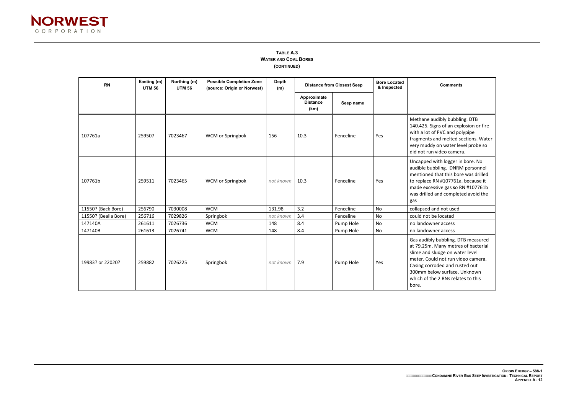

## **TABLE A.3 WATER AND COAL BORES (CONTINUED)**

| <b>RN</b>            | Easting (m)<br><b>UTM 56</b> | Northing (m)<br><b>UTM 56</b> | <b>Possible Completion Zone</b><br>(source: Origin or Norwest) | <b>Depth</b><br>(m) | <b>Distance from Closest Seep</b>      |           | <b>Bore Located</b><br>& Inspected | <b>Comments</b>                                                                                                                                                                                                                                                     |
|----------------------|------------------------------|-------------------------------|----------------------------------------------------------------|---------------------|----------------------------------------|-----------|------------------------------------|---------------------------------------------------------------------------------------------------------------------------------------------------------------------------------------------------------------------------------------------------------------------|
|                      |                              |                               |                                                                |                     | Approximate<br><b>Distance</b><br>(km) | Seep name |                                    |                                                                                                                                                                                                                                                                     |
| 107761a              | 259507                       | 7023467                       | WCM or Springbok                                               | 156                 | 10.3                                   | Fenceline | Yes                                | Methane audibly bubbling. DTB<br>140.425. Signs of an explosion or fire<br>with a lot of PVC and polypipe<br>fragments and melted sections. Water<br>very muddy on water level probe so<br>did not run video camera.                                                |
| 107761b              | 259511                       | 7023465                       | WCM or Springbok                                               | not known           | 10.3                                   | Fenceline | Yes                                | Uncapped with logger in bore. No<br>audible bubbling. DNRM personnel<br>mentioned that this bore was drilled<br>to replace RN #107761a, because it<br>made excessive gas so RN #107761b<br>was drilled and completed avoid the<br>gas                               |
| 11550? (Back Bore)   | 256790                       | 7030008                       | <b>WCM</b>                                                     | 131.98              | 3.2                                    | Fenceline | No                                 | collapsed and not used                                                                                                                                                                                                                                              |
| 11550? (Bealla Bore) | 256716                       | 7029826                       | Springbok                                                      | not known           | 3.4                                    | Fenceline | No                                 | could not be located                                                                                                                                                                                                                                                |
| 147140A              | 261611                       | 7026736                       | <b>WCM</b>                                                     | 148                 | 8.4                                    | Pump Hole | No                                 | no landowner access                                                                                                                                                                                                                                                 |
| 147140B              | 261613                       | 7026741                       | <b>WCM</b>                                                     | 148                 | 8.4                                    | Pump Hole | No                                 | no landowner access                                                                                                                                                                                                                                                 |
| 19983? or 22020?     | 259882                       | 7026225                       | Springbok                                                      | not known           | 7.9                                    | Pump Hole | Yes                                | Gas audibly bubbling. DTB measured<br>at 79.25m. Many metres of bacterial<br>slime and sludge on water level<br>meter. Could not run video camera.<br>Casing corroded and rusted out<br>300mm below surface. Unknown<br>which of the 2 RNs relates to this<br>bore. |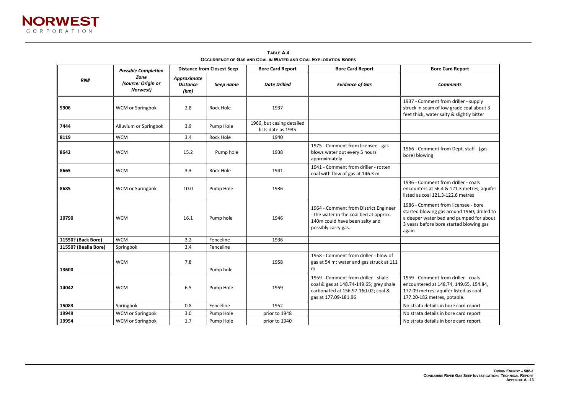**TABLE A.4 OCCURRENCE OF GAS AND COAL IN WATER AND COAL EXPLORATION BORES**

|                      | <b>Possible Completion</b>             |                                        | <b>Distance from Closest Seep</b> | <b>Bore Card Report</b>                         | <b>Bore Card Report</b>                                                                                                                       | <b>Bore Card Report</b>                                                                                                                                       |
|----------------------|----------------------------------------|----------------------------------------|-----------------------------------|-------------------------------------------------|-----------------------------------------------------------------------------------------------------------------------------------------------|---------------------------------------------------------------------------------------------------------------------------------------------------------------|
| RNH                  | Zone<br>(source: Origin or<br>Norwest) | Approximate<br><b>Distance</b><br>(km) | Seep name                         | <b>Date Drilled</b>                             | <b>Evidence of Gas</b>                                                                                                                        | <b>Comments</b>                                                                                                                                               |
| 5906                 | WCM or Springbok                       | 2.8                                    | <b>Rock Hole</b>                  | 1937                                            |                                                                                                                                               | 1937 - Comment from driller - suppl<br>struck in seam of low grade coal abo<br>feet thick, water salty & slightly bitt                                        |
| 7444                 | Alluvium or Springbok                  | 3.9                                    | Pump Hole                         | 1966, but casing detailed<br>lists date as 1935 |                                                                                                                                               |                                                                                                                                                               |
| 8119                 | <b>WCM</b>                             | 3.4                                    | Rock Hole                         | 1940                                            |                                                                                                                                               |                                                                                                                                                               |
| 8642                 | <b>WCM</b>                             | 15.2                                   | Pump hole                         | 1938                                            | 1975 - Comment from licensee - gas<br>blows water out every 5 hours<br>approximately                                                          | 1966 - Comment from Dept. staff - (<br>bore) blowing                                                                                                          |
| 8665                 | <b>WCM</b>                             | 3.3                                    | <b>Rock Hole</b>                  | 1941                                            | 1941 - Comment from driller - rotten<br>coal with flow of gas at 146.3 m                                                                      |                                                                                                                                                               |
| 8685                 | WCM or Springbok                       | 10.0                                   | Pump Hole                         | 1936                                            |                                                                                                                                               | 1936 - Comment from driller - coals<br>encounters at 56.4 & 121.3 metres;<br>listed as coal 121.3-122.6 metres                                                |
| 10790                | <b>WCM</b>                             | 16.1                                   | Pump hole                         | 1946                                            | 1964 - Comment from District Engineer<br>- the water in the coal bed at approx.<br>140m could have been salty and<br>possibly carry gas.      | 1986 - Comment from licensee - bor<br>started blowing gas around 1960; di<br>a deeper water bed and pumped fo<br>3 years before bore started blowing<br>again |
| 11550? (Back Bore)   | <b>WCM</b>                             | 3.2                                    | Fenceline                         | 1936                                            |                                                                                                                                               |                                                                                                                                                               |
| 11550? (Bealla Bore) | Springbok                              | 3.4                                    | Fenceline                         |                                                 |                                                                                                                                               |                                                                                                                                                               |
| 13600                | <b>WCM</b>                             | 7.8                                    | Pump hole                         | 1958                                            | 1958 - Comment from driller - blow of<br>gas at 54 m; water and gas struck at 111<br>m                                                        |                                                                                                                                                               |
| 14042                | <b>WCM</b>                             | 6.5                                    | Pump Hole                         | 1959                                            | 1959 - Comment from driller - shale<br>coal & gas at 148.74-149.65; grey shale<br>carbonated at 156.97-160.02; coal &<br>gas at 177.09-181.96 | 1959 - Comment from driller - coals<br>encountered at 148.74, 149.65, 154<br>177.09 metres; aquifer listed as coa<br>177.20-182 metres, potable.              |
| 15083                | Springbok                              | 0.8                                    | Fenceline                         | 1952                                            |                                                                                                                                               | No strata details in bore card report                                                                                                                         |
| 19949                | WCM or Springbok                       | 3.0                                    | Pump Hole                         | prior to 1948                                   |                                                                                                                                               | No strata details in bore card report                                                                                                                         |
| 19954                | WCM or Springbok                       | 1.7                                    | Pump Hole                         | prior to 1940                                   |                                                                                                                                               | No strata details in bore card report                                                                                                                         |

| <b>Bore Card Report</b>                                                                                                                                                           |  |  |  |  |  |  |  |
|-----------------------------------------------------------------------------------------------------------------------------------------------------------------------------------|--|--|--|--|--|--|--|
| Comments                                                                                                                                                                          |  |  |  |  |  |  |  |
| 1937 - Comment from driller - supply<br>struck in seam of low grade coal about 3<br>feet thick, water salty & slightly bitter                                                     |  |  |  |  |  |  |  |
|                                                                                                                                                                                   |  |  |  |  |  |  |  |
| 1966 - Comment from Dept. staff - (gas<br>bore) blowing                                                                                                                           |  |  |  |  |  |  |  |
|                                                                                                                                                                                   |  |  |  |  |  |  |  |
| 1936 - Comment from driller - coals<br>encounters at 56.4 & 121.3 metres; aquifer<br>listed as coal 121.3-122.6 metres                                                            |  |  |  |  |  |  |  |
| 1986 - Comment from licensee - bore<br>started blowing gas around 1960; drilled to<br>a deeper water bed and pumped for about<br>3 years before bore started blowing gas<br>again |  |  |  |  |  |  |  |
|                                                                                                                                                                                   |  |  |  |  |  |  |  |
|                                                                                                                                                                                   |  |  |  |  |  |  |  |
| 1959 - Comment from driller - coals<br>encountered at 148.74, 149.65, 154.84,<br>177.09 metres; aquifer listed as coal<br>177.20-182 metres, potable.                             |  |  |  |  |  |  |  |
| No strata details in bore card report<br>the contract of the contract of the                                                                                                      |  |  |  |  |  |  |  |

ails in bore card report

ails in bore card report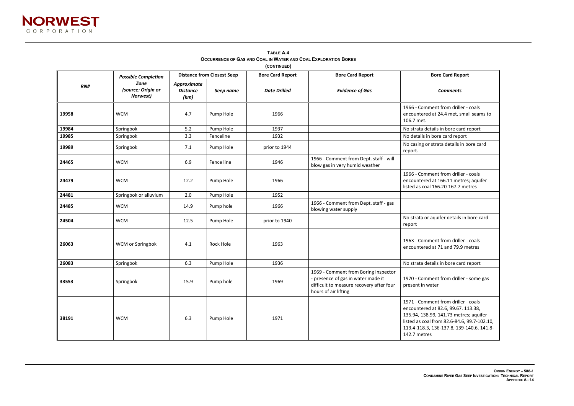

**TABLE A.4 OCCURRENCE OF GAS AND COAL IN WATER AND COAL EXPLORATION BORES**

|       |                                                                      | <b>Distance from Closest Seep</b>      |            |                                                |                                                                                                                                                | <b>Bore Card Report</b>                                                                                                                                                                                                      |  |
|-------|----------------------------------------------------------------------|----------------------------------------|------------|------------------------------------------------|------------------------------------------------------------------------------------------------------------------------------------------------|------------------------------------------------------------------------------------------------------------------------------------------------------------------------------------------------------------------------------|--|
| RN#   | <b>Possible Completion</b><br>Zone<br>(source: Origin or<br>Norwest) | Approximate<br><b>Distance</b><br>(km) | Seep name  | <b>Bore Card Report</b><br><b>Date Drilled</b> | <b>Bore Card Report</b><br><b>Evidence of Gas</b>                                                                                              | <b>Comments</b>                                                                                                                                                                                                              |  |
| 19958 | <b>WCM</b>                                                           | 4.7                                    | Pump Hole  | 1966                                           |                                                                                                                                                | 1966 - Comment from driller - coals<br>encountered at 24.4 met, small seams to<br>106.7 met.                                                                                                                                 |  |
| 19984 | Springbok                                                            | 5.2                                    | Pump Hole  | 1937                                           |                                                                                                                                                | No strata details in bore card report                                                                                                                                                                                        |  |
| 19985 | Springbok                                                            | 3.3                                    | Fenceline  | 1932                                           |                                                                                                                                                | No details in bore card report                                                                                                                                                                                               |  |
| 19989 | Springbok                                                            | 7.1                                    | Pump Hole  | prior to 1944                                  |                                                                                                                                                | No casing or strata details in bore card<br>report.                                                                                                                                                                          |  |
| 24465 | <b>WCM</b>                                                           | 6.9                                    | Fence line | 1946                                           | 1966 - Comment from Dept. staff - will<br>blow gas in very humid weather                                                                       |                                                                                                                                                                                                                              |  |
| 24479 | <b>WCM</b>                                                           | 12.2                                   | Pump Hole  | 1966                                           |                                                                                                                                                | 1966 - Comment from driller - coals<br>encountered at 166.11 metres; aquifer<br>listed as coal 166.20-167.7 metres                                                                                                           |  |
| 24481 | Springbok or alluvium                                                | 2.0                                    | Pump Hole  | 1952                                           |                                                                                                                                                |                                                                                                                                                                                                                              |  |
| 24485 | <b>WCM</b>                                                           | 14.9                                   | Pump hole  | 1966                                           | 1966 - Comment from Dept. staff - gas<br>blowing water supply                                                                                  |                                                                                                                                                                                                                              |  |
| 24504 | <b>WCM</b>                                                           | 12.5                                   | Pump Hole  | prior to 1940                                  |                                                                                                                                                | No strata or aquifer details in bore card<br>report                                                                                                                                                                          |  |
| 26063 | WCM or Springbok                                                     | 4.1                                    | Rock Hole  | 1963                                           |                                                                                                                                                | 1963 - Comment from driller - coals<br>encountered at 71 and 79.9 metres                                                                                                                                                     |  |
| 26083 | Springbok                                                            | 6.3                                    | Pump Hole  | 1936                                           |                                                                                                                                                | No strata details in bore card report                                                                                                                                                                                        |  |
| 33553 | Springbok                                                            | 15.9                                   | Pump hole  | 1969                                           | 1969 - Comment from Boring Inspector<br>- presence of gas in water made it<br>difficult to measure recovery after four<br>hours of air lifting | 1970 - Comment from driller - some gas<br>present in water                                                                                                                                                                   |  |
| 38191 | <b>WCM</b>                                                           | 6.3                                    | Pump Hole  | 1971                                           |                                                                                                                                                | 1971 - Comment from driller - coals<br>encountered at 82.6, 99.67. 113.38,<br>135.94, 138.99, 141.73 metres; aquifer<br>listed as coal from 82.6-84.6, 99.7-102.1<br>113.4-118.3, 136-137.8, 139-140.6, 141.<br>142.7 metres |  |

### **Bore Card Report**

ent from driller - coals at 24.4 met, small seams to

ent from driller - coals at 82.6, 99.67. 113.38, 99, 141.73 metres; aquifer from 82.6-84.6, 99.7-102.10, 136-137.8, 139-140.6, 141.8-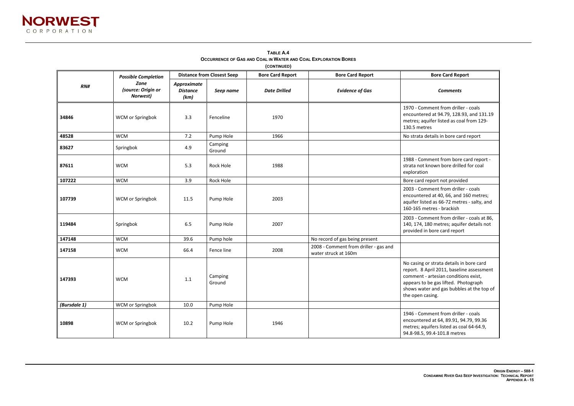coals and 131.19 rom 129-

rd report for coal

coals ) metres; salty, and

coals at 86, 1etails not

ore card assessment const, and it is pgraph at the top of

coals 79, 99.36 64-64.9,



**TABLE A.4 OCCURRENCE OF GAS AND COAL IN WATER AND COAL EXPLORATION BORES**

|              | <b>Possible Completion</b>             |                                        | <b>Distance from Closest Seep</b> | <b>Bore Card Report</b> | <b>Bore Card Report</b>                                       | <b>Bore Card Report</b>                                                                                                                                                                                                |
|--------------|----------------------------------------|----------------------------------------|-----------------------------------|-------------------------|---------------------------------------------------------------|------------------------------------------------------------------------------------------------------------------------------------------------------------------------------------------------------------------------|
| RNH          | Zone<br>(source: Origin or<br>Norwest) | Approximate<br><b>Distance</b><br>(km) | Seep name                         | <b>Date Drilled</b>     | <b>Evidence of Gas</b>                                        | <b>Comments</b>                                                                                                                                                                                                        |
| 34846        | WCM or Springbok                       | 3.3                                    | Fenceline                         | 1970                    |                                                               | 1970 - Comment from driller - coals<br>encountered at 94.79, 128.93, and 1<br>metres; aquifer listed as coal from 1<br>130.5 metres                                                                                    |
| 48528        | <b>WCM</b>                             | 7.2                                    | Pump Hole                         | 1966                    |                                                               | No strata details in bore card report                                                                                                                                                                                  |
| 83627        | Springbok                              | 4.9                                    | Camping<br>Ground                 |                         |                                                               |                                                                                                                                                                                                                        |
| 87611        | <b>WCM</b>                             | 5.3                                    | Rock Hole                         | 1988                    |                                                               | 1988 - Comment from bore card rep<br>strata not known bore drilled for co<br>exploration                                                                                                                               |
| 107222       | <b>WCM</b>                             | 3.9                                    | Rock Hole                         |                         |                                                               | Bore card report not provided                                                                                                                                                                                          |
| 107739       | WCM or Springbok                       | 11.5                                   | Pump Hole                         | 2003                    |                                                               | 2003 - Comment from driller - coals<br>encountered at 40, 66, and 160 met<br>aquifer listed as 66-72 metres - salty<br>160-165 metres - brackish                                                                       |
| 119484       | Springbok                              | 6.5                                    | Pump Hole                         | 2007                    |                                                               | 2003 - Comment from driller - coals<br>140, 174, 180 metres; aquifer detail<br>provided in bore card report                                                                                                            |
| 147148       | <b>WCM</b>                             | 39.6                                   | Pump hole                         |                         | No record of gas being present                                |                                                                                                                                                                                                                        |
| 147158       | <b>WCM</b>                             | 66.4                                   | Fence line                        | 2008                    | 2008 - Comment from driller - gas and<br>water struck at 160m |                                                                                                                                                                                                                        |
| 147393       | <b>WCM</b>                             | 1.1                                    | Camping<br>Ground                 |                         |                                                               | No casing or strata details in bore ca<br>report. 8 April 2011, baseline asses<br>comment - artesian conditions exist<br>appears to be gas lifted. Photograp<br>shows water and gas bubbles at the<br>the open casing. |
| (Bursdale 1) | WCM or Springbok                       | 10.0                                   | Pump Hole                         |                         |                                                               |                                                                                                                                                                                                                        |
| 10898        | WCM or Springbok                       | 10.2                                   | Pump Hole                         | 1946                    |                                                               | 1946 - Comment from driller - coals<br>encountered at 64, 89.91, 94.79, 99<br>metres; aquifers listed as coal 64-64<br>94.8-98.5, 99.4-101.8 metres                                                                    |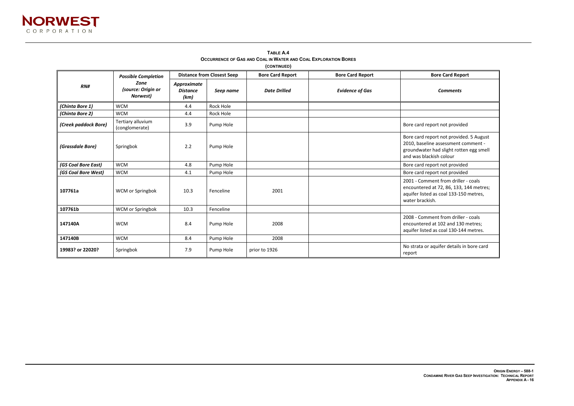### **Bore Card Report**



**TABLE A.4 OCCURRENCE OF GAS AND COAL IN WATER AND COAL EXPLORATION BORES (CONTINUED)** 

|                      | <b>Possible Completion</b>             |                                        | <b>Distance from Closest Seep</b> | <b>Bore Card Report</b> | <b>Bore Card Report</b> | <b>Bore Card Report</b>                                                                                                                             |
|----------------------|----------------------------------------|----------------------------------------|-----------------------------------|-------------------------|-------------------------|-----------------------------------------------------------------------------------------------------------------------------------------------------|
| RN#                  | Zone<br>(source: Origin or<br>Norwest) | Approximate<br><b>Distance</b><br>(km) | Seep name                         | <b>Date Drilled</b>     | <b>Evidence of Gas</b>  | <b>Comments</b>                                                                                                                                     |
| (Chinta Bore 1)      | <b>WCM</b>                             | 4.4                                    | Rock Hole                         |                         |                         |                                                                                                                                                     |
| (Chinta Bore 2)      | <b>WCM</b>                             | 4.4                                    | Rock Hole                         |                         |                         |                                                                                                                                                     |
| (Creek paddock Bore) | Tertiary alluvium<br>(conglomerate)    | 3.9                                    | Pump Hole                         |                         |                         | Bore card report not provided                                                                                                                       |
| (Grassdale Bore)     | Springbok                              | 2.2                                    | Pump Hole                         |                         |                         | Bore card report not provided. 5 August<br>2010, baseline assessment comment -<br>groundwater had slight rotten egg smel<br>and was blackish colour |
| (GS Coal Bore East)  | <b>WCM</b>                             | 4.8                                    | Pump Hole                         |                         |                         | Bore card report not provided                                                                                                                       |
| (GS Coal Bore West)  | <b>WCM</b>                             | 4.1                                    | Pump Hole                         |                         |                         | Bore card report not provided                                                                                                                       |
| 107761a              | WCM or Springbok                       | 10.3                                   | Fenceline                         | 2001                    |                         | 2001 - Comment from driller - coals<br>encountered at 72, 86, 133, 144 metres<br>aquifer listed as coal 133-150 metres,<br>water brackish.          |
| 107761b              | WCM or Springbok                       | 10.3                                   | Fenceline                         |                         |                         |                                                                                                                                                     |
| 147140A              | <b>WCM</b>                             | 8.4                                    | Pump Hole                         | 2008                    |                         | 2008 - Comment from driller - coals<br>encountered at 102 and 130 metres;<br>aquifer listed as coal 130-144 metres.                                 |
| 147140B              | <b>WCM</b>                             | 8.4                                    | Pump Hole                         | 2008                    |                         |                                                                                                                                                     |
| 19983? or 22020?     | Springbok                              | 7.9                                    | Pump Hole                         | prior to 1926           |                         | No strata or aquifer details in bore card<br>report                                                                                                 |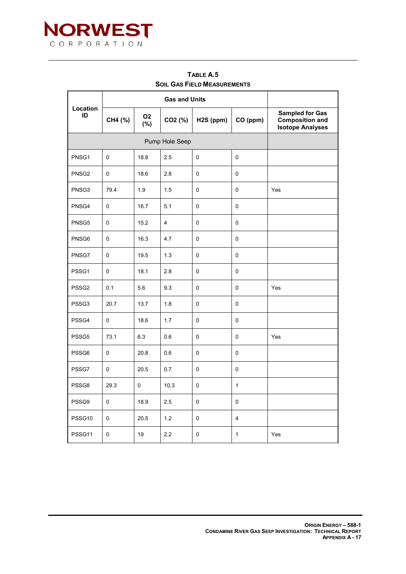

| Location<br>ID    | CH4 (%)     | O <sub>2</sub><br>(%) | CO <sub>2</sub> (%) | H2S (ppm)   | CO (ppm)     | <b>Sampled for Gas</b><br><b>Composition and</b><br><b>Isotope Analyses</b> |
|-------------------|-------------|-----------------------|---------------------|-------------|--------------|-----------------------------------------------------------------------------|
|                   |             |                       | Pump Hole Seep      |             |              |                                                                             |
| PNSG1             | 0           | 18.8                  | 2.5                 | $\mathbf 0$ | 0            |                                                                             |
| PNSG <sub>2</sub> | 0           | 18.6                  | 2.8                 | 0           | 0            |                                                                             |
| PNSG3             | 79.4        | 1.9                   | 1.5                 | 0           | 0            | Yes                                                                         |
| PNSG4             | 0           | 16.7                  | 5.1                 | 0           | 0            |                                                                             |
| PNSG5             | $\mathbf 0$ | 15.2                  | $\overline{4}$      | 0           | 0            |                                                                             |
| PNSG6             | 0           | 16.3                  | 4.7                 | $\mathbf 0$ | 0            |                                                                             |
| PNSG7             | 0           | 19.5                  | 1.3                 | $\mathbf 0$ | 0            |                                                                             |
| PSSG1             | 0           | 18.1                  | 2.8                 | $\mathbf 0$ | 0            |                                                                             |
| PSSG <sub>2</sub> | 0.1         | 5.6                   | 9.3                 | $\mathbf 0$ | 0            | Yes                                                                         |
| PSSG3             | 20.7        | 13.7                  | 1.8                 | $\mathbf 0$ | 0            |                                                                             |
| PSSG4             | 0           | 18.6                  | 1.7                 | $\mathbf 0$ | $\mathbf 0$  |                                                                             |
| PSSG5             | 73.1        | 6.3                   | 0.6                 | $\mathbf 0$ | 0            | Yes                                                                         |
| PSSG6             | 0           | 20.8                  | 0.6                 | 0           | 0            |                                                                             |
| PSSG7             | 0           | 20.5                  | 0.7                 | 0           | 0            |                                                                             |
| PSSG8             | 29.3        | $\mathsf 0$           | 10.3                | $\mathbf 0$ | $\mathbf{1}$ |                                                                             |
| PSSG9             | $\mathbf 0$ | 18.9                  | 2.5                 | $\mathbf 0$ | 0            |                                                                             |
| PSSG10            | 0           | 20.5                  | 1.2                 | $\pmb{0}$   | 4            |                                                                             |
| PSSG11            | 0           | 19                    | 2.2                 | $\mathbf 0$ | $\mathbf{1}$ | Yes                                                                         |

**TABLE A.5 SOIL GAS FIELD MEASUREMENTS**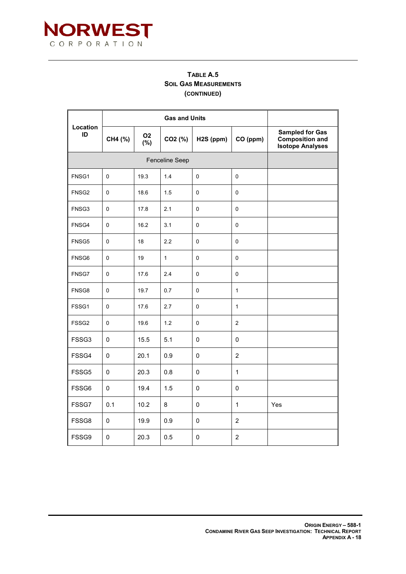

| Location<br>ID    | CH4 (%)             | <b>O2</b><br>(%) | CO <sub>2</sub> (%) | H2S (ppm)   | CO (ppm)            | <b>Sampled for Gas</b><br>Composition and<br><b>Isotope Analyses</b> |
|-------------------|---------------------|------------------|---------------------|-------------|---------------------|----------------------------------------------------------------------|
|                   |                     |                  | Fenceline Seep      |             |                     |                                                                      |
| FNSG1             | 0                   | 19.3             | 1.4                 | 0           | $\mathsf 0$         |                                                                      |
| FNSG <sub>2</sub> | 0                   | 18.6             | 1.5                 | 0           | 0                   |                                                                      |
| FNSG3             | $\Omega$            | 17.8             | 2.1                 | $\Omega$    | 0                   |                                                                      |
| FNSG4             | 0                   | 16.2             | 3.1                 | 0           | $\mathsf{O}\xspace$ |                                                                      |
| FNSG5             | $\mathbf 0$         | 18               | 2.2                 | 0           | 0                   |                                                                      |
| FNSG6             | 0                   | 19               | $\mathbf{1}$        | 0           | 0                   |                                                                      |
| FNSG7             | $\mathbf 0$         | 17.6             | 2.4                 | 0           | 0                   |                                                                      |
| FNSG8             | 0                   | 19.7             | 0.7                 | 0           | $\mathbf{1}$        |                                                                      |
| FSSG1             | $\mathbf 0$         | 17.6             | 2.7                 | 0           | $\mathbf{1}$        |                                                                      |
| FSSG <sub>2</sub> | $\mathsf{O}\xspace$ | 19.6             | 1.2                 | $\mathsf 0$ | $\overline{c}$      |                                                                      |
| FSSG3             | 0                   | 15.5             | 5.1                 | 0           | 0                   |                                                                      |
| FSSG4             | $\pmb{0}$           | 20.1             | 0.9                 | $\mathsf 0$ | $\overline{2}$      |                                                                      |
| FSSG5             | 0                   | 20.3             | 0.8                 | 0           | $\mathbf{1}$        |                                                                      |
| FSSG6             | $\pmb{0}$           | 19.4             | 1.5                 | $\mathbf 0$ | $\pmb{0}$           |                                                                      |
| FSSG7             | 0.1                 | 10.2             | 8                   | $\mathbf 0$ | $\mathbf{1}$        | Yes                                                                  |
| FSSG8             | $\pmb{0}$           | 19.9             | 0.9                 | $\mathsf 0$ | $\overline{2}$      |                                                                      |
| FSSG9             | $\mathbf 0$         | 20.3             | 0.5                 | 0           | $\overline{2}$      |                                                                      |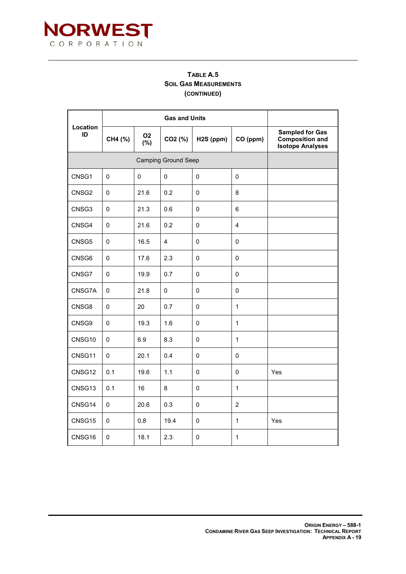

| Location<br>ID | CH4 (%)     | <b>O2</b><br>$(\%)$ | CO <sub>2</sub> (%)        | H2S (ppm)   | CO (ppm)       | <b>Sampled for Gas</b><br><b>Composition and</b><br><b>Isotope Analyses</b> |
|----------------|-------------|---------------------|----------------------------|-------------|----------------|-----------------------------------------------------------------------------|
|                |             |                     | <b>Camping Ground Seep</b> |             |                |                                                                             |
| CNSG1          | $\mathbf 0$ | $\mathsf{O}\xspace$ | $\mathsf 0$                | $\pmb{0}$   | $\mathsf 0$    |                                                                             |
| CNSG2          | $\mathbf 0$ | 21.6                | 0.2                        | 0           | 8              |                                                                             |
| CNSG3          | $\mathbf 0$ | 21.3                | 0.6                        | $\pmb{0}$   | $\,6$          |                                                                             |
| CNSG4          | $\mathbf 0$ | 21.6                | 0.2                        | $\pmb{0}$   | $\overline{4}$ |                                                                             |
| CNSG5          | $\mathbf 0$ | 16.5                | $\overline{\mathbf{4}}$    | $\mathbf 0$ | $\mathbf 0$    |                                                                             |
| CNSG6          | $\mathbf 0$ | 17.6                | 2.3                        | $\pmb{0}$   | $\mathbf 0$    |                                                                             |
| CNSG7          | $\mathbf 0$ | 19.9                | 0.7                        | $\pmb{0}$   | $\mathbf 0$    |                                                                             |
| CNSG7A         | 0           | 21.8                | $\mathbf 0$                | 0           | $\mathbf 0$    |                                                                             |
| CNSG8          | $\mathbf 0$ | 20                  | 0.7                        | $\pmb{0}$   | $\mathbf{1}$   |                                                                             |
| CNSG9          | $\mathbf 0$ | 19.3                | 1.6                        | $\mathbf 0$ | $\mathbf{1}$   |                                                                             |
| CNSG10         | $\mathbf 0$ | 6.9                 | 8.3                        | 0           | 1              |                                                                             |
| CNSG11         | $\mathbf 0$ | 20.1                | 0.4                        | $\mathsf 0$ | $\mathsf 0$    |                                                                             |
| CNSG12         | 0.1         | 19.6                | 1.1                        | $\Omega$    | 0              | Yes                                                                         |
| CNSG13         | 0.1         | 16                  | 8                          | $\pmb{0}$   | $\mathbf{1}$   |                                                                             |
| CNSG14         | $\mathbf 0$ | 20.6                | 0.3                        | $\pmb{0}$   | $\overline{2}$ |                                                                             |
| CNSG15         | $\mathbf 0$ | 0.8                 | 19.4                       | 0           | $\mathbf{1}$   | Yes                                                                         |
| CNSG16         | $\mathbf 0$ | 18.1                | 2.3                        | 0           | 1              |                                                                             |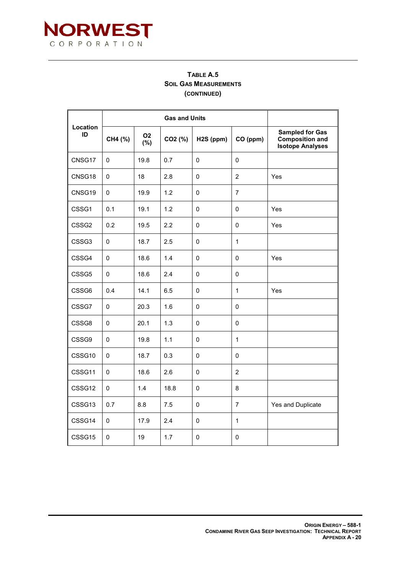

| Location<br>ID | CH4 (%)     | <b>O2</b><br>$(\%)$ | CO <sub>2</sub> (%) | H2S (ppm)   | CO (ppm)       | <b>Sampled for Gas</b><br><b>Composition and</b><br><b>Isotope Analyses</b> |
|----------------|-------------|---------------------|---------------------|-------------|----------------|-----------------------------------------------------------------------------|
| CNSG17         | 0           | 19.8                | 0.7                 | 0           | $\mathbf 0$    |                                                                             |
| CNSG18         | $\mathbf 0$ | 18                  | 2.8                 | $\mathsf 0$ | $\overline{2}$ | Yes                                                                         |
| CNSG19         | $\mathbf 0$ | 19.9                | 1.2                 | 0           | $\overline{7}$ |                                                                             |
| CSSG1          | 0.1         | 19.1                | 1.2                 | $\pmb{0}$   | $\pmb{0}$      | Yes                                                                         |
| CSSG2          | 0.2         | 19.5                | 2.2                 | $\pmb{0}$   | $\pmb{0}$      | Yes                                                                         |
| CSSG3          | $\mathbf 0$ | 18.7                | 2.5                 | $\mathbf 0$ | $\mathbf{1}$   |                                                                             |
| CSSG4          | $\mathbf 0$ | 18.6                | 1.4                 | $\pmb{0}$   | $\mathbf 0$    | Yes                                                                         |
| CSSG5          | $\mathbf 0$ | 18.6                | 2.4                 | $\mathbf 0$ | $\mathbf 0$    |                                                                             |
| CSSG6          | 0.4         | 14.1                | 6.5                 | 0           | $\mathbf{1}$   | Yes                                                                         |
| CSSG7          | $\mathbf 0$ | 20.3                | 1.6                 | $\pmb{0}$   | $\mathbf 0$    |                                                                             |
| CSSG8          | 0           | 20.1                | 1.3                 | $\mathbf 0$ | $\mathbf 0$    |                                                                             |
| CSSG9          | 0           | 19.8                | 1.1                 | 0           | $\mathbf{1}$   |                                                                             |
| CSSG10         | $\mathbf 0$ | 18.7                | 0.3                 | 0           | $\pmb{0}$      |                                                                             |
| CSSG11         | 0           | 18.6                | 2.6                 | $\Omega$    | $\overline{2}$ |                                                                             |
| CSSG12         | $\mathbf 0$ | 1.4                 | 18.8                | $\pmb{0}$   | 8              |                                                                             |
| CSSG13         | 0.7         | 8.8                 | 7.5                 | $\mathbf 0$ | $\overline{7}$ | Yes and Duplicate                                                           |
| CSSG14         | $\mathbf 0$ | 17.9                | 2.4                 | 0           | $\mathbf{1}$   |                                                                             |
| CSSG15         | 0           | 19                  | 1.7                 | 0           | 0              |                                                                             |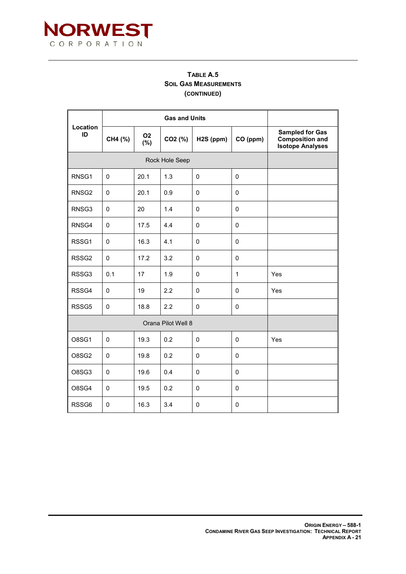

|                   |             |                  | <b>Gas and Units</b> |             |              |                                                                             |
|-------------------|-------------|------------------|----------------------|-------------|--------------|-----------------------------------------------------------------------------|
| Location<br>ID    | CH4 (%)     | <b>O2</b><br>(%) | CO <sub>2</sub> (%)  | H2S (ppm)   | CO (ppm)     | <b>Sampled for Gas</b><br><b>Composition and</b><br><b>Isotope Analyses</b> |
|                   |             |                  | Rock Hole Seep       |             |              |                                                                             |
| RNSG1             | 0           | 20.1             | 1.3                  | $\mathbf 0$ | $\mathbf 0$  |                                                                             |
| RNSG <sub>2</sub> | 0           | 20.1             | 0.9                  | $\mathbf 0$ | $\mathbf 0$  |                                                                             |
| RNSG3             | 0           | 20               | 1.4                  | $\mathbf 0$ | $\mathbf 0$  |                                                                             |
| RNSG4             | 0           | 17.5             | 4.4                  | $\mathbf 0$ | $\mathbf 0$  |                                                                             |
| RSSG1             | 0           | 16.3             | 4.1                  | $\mathbf 0$ | $\mathbf 0$  |                                                                             |
| RSSG <sub>2</sub> | 0           | 17.2             | 3.2                  | $\pmb{0}$   | $\pmb{0}$    |                                                                             |
| RSSG3             | 0.1         | 17               | 1.9                  | 0           | $\mathbf{1}$ | Yes                                                                         |
| RSSG4             | 0           | 19               | 2.2                  | 0           | $\mathbf 0$  | Yes                                                                         |
| RSSG5             | 0           | 18.8             | 2.2                  | $\mathbf 0$ | $\mathbf 0$  |                                                                             |
|                   |             |                  | Orana Pilot Well 8   |             |              |                                                                             |
| O8SG1             | $\mathbf 0$ | 19.3             | 0.2                  | 0           | $\mathbf 0$  | Yes                                                                         |
| O8SG2             | 0           | 19.8             | 0.2                  | 0           | $\mathbf 0$  |                                                                             |
| O8SG3             | 0           | 19.6             | 0.4                  | 0           | $\mathbf 0$  |                                                                             |
| O8SG4             | 0           | 19.5             | 0.2                  | 0           | $\mathbf 0$  |                                                                             |
| RSSG6             | 0           | 16.3             | 3.4                  | 0           | $\mathbf 0$  |                                                                             |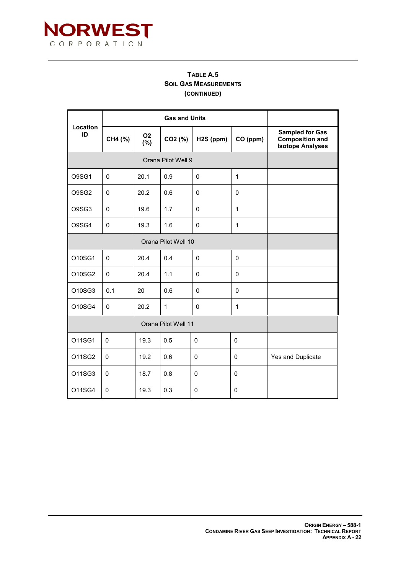

| Location<br>ID | CH4 (%)     | <b>O2</b><br>$(\%)$ | CO <sub>2</sub> (%) | H <sub>2</sub> S (ppm) | CO (ppm)     | <b>Sampled for Gas</b><br><b>Composition and</b><br><b>Isotope Analyses</b> |
|----------------|-------------|---------------------|---------------------|------------------------|--------------|-----------------------------------------------------------------------------|
|                |             |                     | Orana Pilot Well 9  |                        |              |                                                                             |
| O9SG1          | $\pmb{0}$   | 20.1                | 0.9                 | 0                      | $\mathbf{1}$ |                                                                             |
| O9SG2          | $\mathbf 0$ | 20.2                | 0.6                 | 0                      | $\mathbf 0$  |                                                                             |
| O9SG3          | $\mathbf 0$ | 19.6                | 1.7                 | 0                      | $\mathbf{1}$ |                                                                             |
| O9SG4          | $\mathbf 0$ | 19.3                | 1.6                 | 0                      | $\mathbf{1}$ |                                                                             |
|                |             |                     | Orana Pilot Well 10 |                        |              |                                                                             |
| O10SG1         | $\mathsf 0$ | 20.4                | 0.4                 | 0                      | $\mathbf 0$  |                                                                             |
| O10SG2         | $\mathsf 0$ | 20.4                | 1.1                 | 0                      | $\mathsf 0$  |                                                                             |
| O10SG3         | 0.1         | 20                  | 0.6                 | 0                      | $\mathbf 0$  |                                                                             |
| O10SG4         | $\Omega$    | 20.2                | 1                   | $\Omega$               | $\mathbf{1}$ |                                                                             |
|                |             |                     | Orana Pilot Well 11 |                        |              |                                                                             |
| O11SG1         | 0           | 19.3                | 0.5                 | $\Omega$               | $\mathbf 0$  |                                                                             |
| O11SG2         | 0           | 19.2                | 0.6                 | $\Omega$               | 0            | Yes and Duplicate                                                           |
| O11SG3         | $\mathbf 0$ | 18.7                | 0.8                 | $\Omega$               | 0            |                                                                             |
| O11SG4         | 0           | 19.3                | 0.3                 | $\mathsf 0$            | 0            |                                                                             |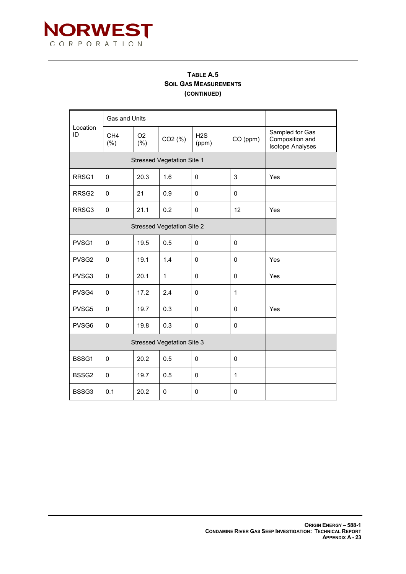

|                   | Gas and Units           |                       |                                   |              |              |                                                               |  |
|-------------------|-------------------------|-----------------------|-----------------------------------|--------------|--------------|---------------------------------------------------------------|--|
| Location<br>ID    | CH <sub>4</sub><br>(% ) | O <sub>2</sub><br>(%) | CO <sub>2</sub> (%)               | H2S<br>(ppm) | CO (ppm)     | Sampled for Gas<br>Composition and<br><b>Isotope Analyses</b> |  |
|                   |                         |                       |                                   |              |              |                                                               |  |
| RRSG1             | $\mathbf 0$             | 20.3                  | 1.6                               | $\mathbf{0}$ | 3            | Yes                                                           |  |
| RRSG <sub>2</sub> | $\mathbf 0$             | 21                    | 0.9                               | $\mathbf{0}$ | 0            |                                                               |  |
| RRSG3             | $\pmb{0}$               | 21.1                  | 0.2                               | $\pmb{0}$    | 12           | Yes                                                           |  |
|                   |                         |                       | <b>Stressed Vegetation Site 2</b> |              |              |                                                               |  |
| PVSG1             | $\mathbf{0}$            | 19.5                  | 0.5                               | $\mathbf 0$  | 0            |                                                               |  |
| PVSG2             | $\mathbf 0$             | 19.1                  | 1.4                               | $\mathbf 0$  | 0            | Yes                                                           |  |
| PVSG3             | $\mathbf 0$             | 20.1                  | $\mathbf{1}$                      | $\mathbf 0$  | 0            | Yes                                                           |  |
| PVSG4             | $\mathbf 0$             | 17.2                  | 2.4                               | $\mathbf{0}$ | $\mathbf{1}$ |                                                               |  |
| PVSG5             | $\mathbf 0$             | 19.7                  | 0.3                               | $\mathbf{0}$ | 0            | Yes                                                           |  |
| PVSG6             | $\pmb{0}$               | 19.8                  | 0.3                               | $\mathbf 0$  | 0            |                                                               |  |
|                   |                         |                       | Stressed Vegetation Site 3        |              |              |                                                               |  |
| BSSG1             | $\mathbf 0$             | 20.2                  | 0.5                               | $\pmb{0}$    | 0            |                                                               |  |
| BSSG2             | $\mathbf 0$             | 19.7                  | 0.5                               | $\mathbf 0$  | 1            |                                                               |  |
| BSSG <sub>3</sub> | 0.1                     | 20.2                  | $\mathbf 0$                       | 0            | 0            |                                                               |  |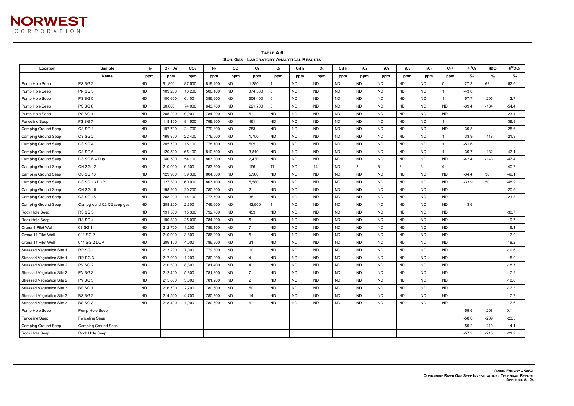**TABLE A.6**



|                                   |                               |                |           |                 |         |           | <b>SOIL GAS - LABORATORY ANALYTICAL RESULTS</b> |                |           |           |            |                 |                 |              |                 |                |                  |                          |                   |
|-----------------------------------|-------------------------------|----------------|-----------|-----------------|---------|-----------|-------------------------------------------------|----------------|-----------|-----------|------------|-----------------|-----------------|--------------|-----------------|----------------|------------------|--------------------------|-------------------|
| Location                          | Sample                        | H <sub>2</sub> | $O2 + Ar$ | CO <sub>2</sub> | $N_{2}$ | CO        | C <sub>1</sub>                                  | C <sub>2</sub> | $C_2H_4$  | $C_3$     | $C_3H_6$   | iC <sub>4</sub> | nC <sub>4</sub> | $IC_{5}$     | nC <sub>5</sub> | $C_6+$         | $\delta^{13}C_1$ | $\delta$ DC <sub>1</sub> | $\delta^{13}CO_2$ |
|                                   | Name                          | ppm            | ppm       | ppm             | ppm     | ppm       | ppm                                             | ppm            | ppm       | ppm       | ppm        | ppm             | ppm             | ppm          | ppm             | ppm            | ‰                | $\%$ o                   | $\%$ o            |
| Pump Hole Seep                    | PS SG <sub>2</sub>            | <b>ND</b>      | 91,800    | 87,500          | 819,400 | ND.       | 1,280                                           |                | ND        | <b>ND</b> | <b>ND</b>  | <b>ND</b>       | ND.             | <b>ND</b>    | ND              | 5              | $-27.3$          | 62                       | $-52.6$           |
| Pump Hole Seep                    | PN SG 3                       | ${\sf ND}$     | 109,200   | 16,200          | 500,100 | ND        | 374,500                                         | 6              | ND        | <b>ND</b> | <b>ND</b>  | <b>ND</b>       | <b>ND</b>       | <b>ND</b>    | ND              |                | $-43.8$          |                          |                   |
| Pump Hole Seep                    | PS SG 5                       | <b>ND</b>      | 100,600   | 6,400           | 386,600 | <b>ND</b> | 506,400                                         | 6              | ND        | <b>ND</b> | <b>ND</b>  | <b>ND</b>       | <b>ND</b>       | <b>ND</b>    | <b>ND</b>       |                | $-57.7$          | $-205$                   | $-12.7$           |
| Pump Hole Seep                    | PS SG 8                       | <b>ND</b>      | 60,600    | 74,000          | 643,700 | ND.       | 221,700                                         | 3              | ND        | <b>ND</b> | <b>ND</b>  | <b>ND</b>       | <b>ND</b>       | <b>ND</b>    | ND              | <b>ND</b>      | $-39.4$          | $-134$                   | $-54.4$           |
| Pump Hole Seep                    | <b>PS SG 11</b>               | <b>ND</b>      | 205,200   | 9,900           | 784,900 | <b>ND</b> | 5                                               | <b>ND</b>      | ND.       | ND.       | <b>ND</b>  | <b>ND</b>       | <b>ND</b>       | <b>ND</b>    | ND              | <b>ND</b>      |                  |                          | $-23.4$           |
| Fenceline Seep                    | FS SG 7                       | ${\sf ND}$     | 118,100   | 81,500          | 799,900 | <b>ND</b> | 461                                             | <b>ND</b>      | <b>ND</b> | ND        | <b>ND</b>  | <b>ND</b>       | <b>ND</b>       | <b>ND</b>    | <b>ND</b>       |                |                  |                          | $-39.8$           |
| Camping Ground Seep               | CS <sub>SG</sub> 1            | ${\sf ND}$     | 197,700   | 21,700          | 779,800 | <b>ND</b> | 783                                             | <b>ND</b>      | <b>ND</b> | <b>ND</b> | <b>ND</b>  | <b>ND</b>       | <b>ND</b>       | <b>ND</b>    | <b>ND</b>       | <b>ND</b>      | $-39.8$          |                          | $-25.6$           |
| Camping Ground Seep               | CS SG 2                       | ${\sf ND}$     | 199,300   | 22,400          | 776,500 | <b>ND</b> | 1,750                                           | <b>ND</b>      | ND        | ND        | <b>ND</b>  | <b>ND</b>       | <b>ND</b>       | <b>ND</b>    | ND              |                | $-33.9$          | $-118$                   | $-21.3$           |
| Camping Ground Seep               | CS <sub>SG</sub> <sub>4</sub> | <b>ND</b>      | 205,700   | 15,100          | 778,700 | <b>ND</b> | 505                                             | <b>ND</b>      | <b>ND</b> | <b>ND</b> | <b>ND</b>  | <b>ND</b>       | <b>ND</b>       | <b>ND</b>    | <b>ND</b>       |                | $-51.6$          |                          |                   |
| Camping Ground Seep               | CS <sub>SG6</sub>             | ${\sf ND}$     | 120,500   | 65,100          | 810,600 | ND.       | 3,810                                           | <b>ND</b>      | ND        | ND        | <b>ND</b>  | <b>ND</b>       | <b>ND</b>       | <b>ND</b>    | ND              |                | $-39.7$          | $-132$                   | $-47.1$           |
| Camping Ground Seep               | $CS SG 6 - Dup$               | ${\sf ND}$     | 140,500   | 54,100          | 803,000 | <b>ND</b> | 2,430                                           | ND             | <b>ND</b> | <b>ND</b> | <b>ND</b>  | <b>ND</b>       | <b>ND</b>       | <b>ND</b>    | <b>ND</b>       | <b>ND</b>      | $-42.4$          | $-143$                   | $-47.4$           |
| Camping Ground Seep               | <b>CN SG 12</b>               | <b>ND</b>      | 210,000   | 6,600           | 783,200 | <b>ND</b> | 156                                             | 17             | <b>ND</b> | 14        | <b>ND</b>  | $\overline{a}$  | 8               | $\mathbf{2}$ | 3               | $\overline{4}$ |                  |                          | $-40.7$           |
| Camping Ground Seep               | <b>CS SG 13</b>               | ${\sf ND}$     | 129,900   | 59,300          | 804,800 | <b>ND</b> | 5,960                                           | <b>ND</b>      | ND        | ND        | <b>ND</b>  | <b>ND</b>       | <b>ND</b>       | <b>ND</b>    | ND              | <b>ND</b>      | $-34.4$          | 36                       | $-49.1$           |
| Camping Ground Seep               | CS SG 13 DUP                  | ${\sf ND}$     | 127,300   | 60,000          | 807,100 | <b>ND</b> | 5,580                                           | <b>ND</b>      | ND        | <b>ND</b> | <b>ND</b>  | <b>ND</b>       | <b>ND</b>       | <b>ND</b>    | ND              | <b>ND</b>      | $-33.9$          | 50                       | -48.9             |
| Camping Ground Seep               | <b>CN SG 18</b>               | ${\sf ND}$     | 198,900   | 20,200          | 780,900 | <b>ND</b> | $\overline{2}$                                  | ND             | <b>ND</b> | <b>ND</b> | <b>ND</b>  | <b>ND</b>       | <b>ND</b>       | <b>ND</b>    | ND              | <b>ND</b>      |                  |                          | $-20.6$           |
| Camping Ground Seep               | <b>CS SG 15</b>               | ${\sf ND}$     | 208,200   | 14,100          | 777,700 | <b>ND</b> | 38                                              | ${\sf ND}$     | ND        | <b>ND</b> | <b>ND</b>  | <b>ND</b>       | <b>ND</b>       | <b>ND</b>    | <b>ND</b>       | <b>ND</b>      |                  |                          | $-21.3$           |
| Camping Ground Seep               | Campground C2 C2 seep gas     | $\sf ND$       | 208,200   | 2,300           | 746,600 | <b>ND</b> | 42,900                                          |                | ND.       | <b>ND</b> | <b>ND</b>  | <b>ND</b>       | <b>ND</b>       | <b>ND</b>    | ND              | <b>ND</b>      | $-13.6$          |                          |                   |
| Rock Hole Seep                    | RS SG 3                       | ND             | 191,500   | 15,300          | 792,700 | <b>ND</b> | 453                                             | <b>ND</b>      | <b>ND</b> | <b>ND</b> | <b>ND</b>  | <b>ND</b>       | <b>ND</b>       | <b>ND</b>    | ND.             | <b>ND</b>      |                  |                          | $-30.7$           |
| Rock Hole Seep                    | RS SG 4                       | <b>ND</b>      | 190,800   | 25,000          | 784,200 | ND        | 5                                               | <b>ND</b>      | <b>ND</b> | ND        | <b>ND</b>  | <b>ND</b>       | <b>ND</b>       | <b>ND</b>    | <b>ND</b>       | <b>ND</b>      |                  |                          | $-19.7$           |
| Orana 8 Pilot Well                | 08 SG 1                       | ${\sf ND}$     | 212,700   | 1,200           | 786,100 | <b>ND</b> | $\overline{7}$                                  | <b>ND</b>      | <b>ND</b> | <b>ND</b> | <b>ND</b>  | <b>ND</b>       | <b>ND</b>       | <b>ND</b>    | ND              | <b>ND</b>      |                  |                          | $-16.1$           |
| Orana 11 Pilot Well               | 011 SG 2                      | ${\sf ND}$     | 210,000   | 3,800           | 786,200 | <b>ND</b> | $5\phantom{.0}$                                 | <b>ND</b>      | ND        | ND        | <b>ND</b>  | <b>ND</b>       | <b>ND</b>       | <b>ND</b>    | ND              | <b>ND</b>      |                  |                          | $-17.9$           |
| Orana 11 Pilot Well               | 011 SG 2-DUP                  | <b>ND</b>      | 209,100   | 4,000           | 786,900 | <b>ND</b> | 31                                              | <b>ND</b>      | <b>ND</b> | <b>ND</b> | <b>ND</b>  | <b>ND</b>       | <b>ND</b>       | <b>ND</b>    | ND              | <b>ND</b>      |                  |                          | $-18.2$           |
| Stressed Vegetation Site 1        | RR SG 1                       | ${\sf ND}$     | 213,200   | 7,000           | 779,800 | ND        | $10\,$                                          | <b>ND</b>      | ND        | ND        | ${\sf ND}$ | ND              | <b>ND</b>       | <b>ND</b>    | ND              | ND             |                  |                          | $-19.6$           |
| Stressed Vegetation Site 1        | RR SG 3                       | ${\sf ND}$     | 217,900   | 1,200           | 780,900 | <b>ND</b> | $\overline{4}$                                  | <b>ND</b>      | <b>ND</b> | <b>ND</b> | <b>ND</b>  | <b>ND</b>       | <b>ND</b>       | <b>ND</b>    | <b>ND</b>       | <b>ND</b>      |                  |                          | $-15.9$           |
| Stressed Vegetation Site 2        | PV SG <sub>2</sub>            | <b>ND</b>      | 210,300   | 8,300           | 781,400 | <b>ND</b> | $\overline{4}$                                  | <b>ND</b>      | <b>ND</b> | <b>ND</b> | <b>ND</b>  | <b>ND</b>       | <b>ND</b>       | <b>ND</b>    | <b>ND</b>       | <b>ND</b>      |                  |                          | $-18.7$           |
| <b>Stressed Vegetation Site 2</b> | PV SG 3                       | <b>ND</b>      | 212,400   | 5.800           | 781,800 | <b>ND</b> | $\overline{7}$                                  | <b>ND</b>      | ND.       | <b>ND</b> | <b>ND</b>  | <b>ND</b>       | <b>ND</b>       | <b>ND</b>    | ND.             | <b>ND</b>      |                  |                          | $-17.9$           |
| Stressed Vegetation Site 2        | PV SG 5                       | ${\sf ND}$     | 215,800   | 3,000           | 781,200 | <b>ND</b> | $\overline{2}$                                  | <b>ND</b>      | <b>ND</b> | ND        | <b>ND</b>  | <b>ND</b>       | <b>ND</b>       | <b>ND</b>    | ND              | ND             |                  |                          | $-18.0$           |
| <b>Stressed Vegetation Site 3</b> | BS SG 1                       | ND             | 216,700   | 2,700           | 780,600 | <b>ND</b> | 50                                              | ND             | ND        | ND        | ND         | <b>ND</b>       | <b>ND</b>       | <b>ND</b>    | ND              | <b>ND</b>      |                  |                          | $-17.3$           |
| <b>Stressed Vegetation Site 3</b> | BS SG 2                       | $\sf ND$       | 214,500   | 4,700           | 780,800 | <b>ND</b> | 14                                              | <b>ND</b>      | <b>ND</b> | <b>ND</b> | ND         | ND              | ${\sf ND}$      | <b>ND</b>    | ND              | ND             |                  |                          | $-17.7$           |
| <b>Stressed Vegetation Site 3</b> | BS SG 3                       | ND             | 218,400   | 1,000           | 780,600 | <b>ND</b> | $\,6\,$                                         | ND             | ND        | ND        | <b>ND</b>  | <b>ND</b>       | ${\sf ND}$      | ND           | ND              | <b>ND</b>      |                  |                          | $-17.6$           |
| Pump Hole Seep                    | Pump Hole Seep                |                |           |                 |         |           |                                                 |                |           |           |            |                 |                 |              |                 |                | $-59.6$          | $-208$                   | 0.1               |
| Fenceline Seep                    | Fenceline Seep                |                |           |                 |         |           |                                                 |                |           |           |            |                 |                 |              |                 |                | $-58.6$          | $-209$                   | $-23.5$           |
| Camping Ground Seep               | Camping Ground Seep           |                |           |                 |         |           |                                                 |                |           |           |            |                 |                 |              |                 |                | $-59.2$          | $-210$                   | $-14.1$           |
| Rock Hole Seep                    | Rock Hole Seep                |                |           |                 |         |           |                                                 |                |           |           |            |                 |                 |              |                 |                | $-57.2$          | $-215$                   | $-21.2$           |